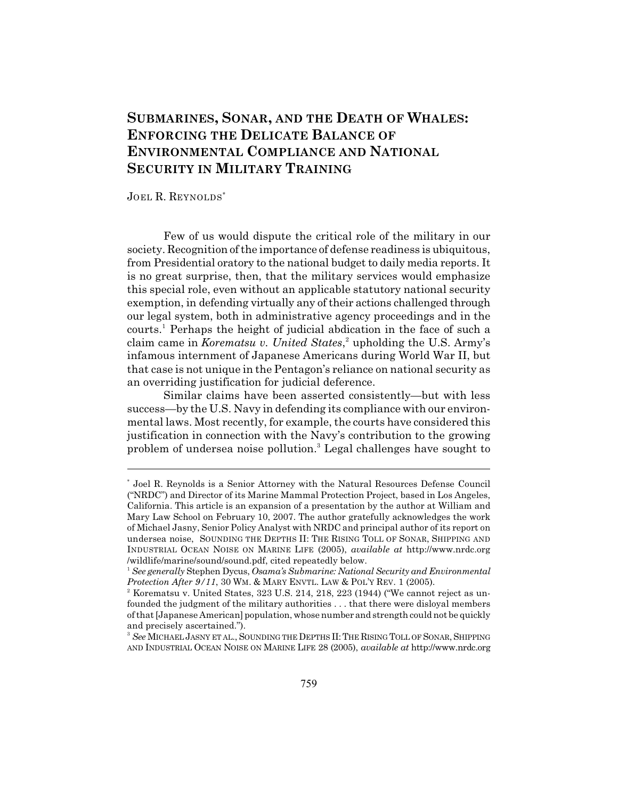# **SUBMARINES, SONAR, AND THE DEATH OF WHALES: ENFORCING THE DELICATE BALANCE OF ENVIRONMENTAL COMPLIANCE AND NATIONAL SECURITY IN MILITARY TRAINING**

JOEL R. REYNOLDS\*

Few of us would dispute the critical role of the military in our society. Recognition of the importance of defense readiness is ubiquitous, from Presidential oratory to the national budget to daily media reports. It is no great surprise, then, that the military services would emphasize this special role, even without an applicable statutory national security exemption, in defending virtually any of their actions challenged through our legal system, both in administrative agency proceedings and in the courts.<sup>1</sup> Perhaps the height of judicial abdication in the face of such a claim came in *Korematsu v. United States*,<sup>2</sup> upholding the U.S. Army's infamous internment of Japanese Americans during World War II, but that case is not unique in the Pentagon's reliance on national security as an overriding justification for judicial deference.

Similar claims have been asserted consistently—but with less success—by the U.S. Navy in defending its compliance with our environmental laws. Most recently, for example, the courts have considered this justification in connection with the Navy's contribution to the growing problem of undersea noise pollution.<sup>3</sup> Legal challenges have sought to

Joel R. Reynolds is a Senior Attorney with the Natural Resources Defense Council \* ("NRDC") and Director of its Marine Mammal Protection Project, based in Los Angeles, California. This article is an expansion of a presentation by the author at William and Mary Law School on February 10, 2007. The author gratefully acknowledges the work of Michael Jasny, Senior Policy Analyst with NRDC and principal author of its report on undersea noise, SOUNDING THE DEPTHS II: THE RISING TOLL OF SONAR, SHIPPING AND INDUSTRIAL OCEAN NOISE ON MARINE LIFE (2005), *available at* http://www.nrdc.org /wildlife/marine/sound/sound.pdf, cited repeatedly below.

<sup>&</sup>lt;sup>1</sup> See generally Stephen Dycus, Osama's Submarine: National Security and Environmental *Protection After 9/11*, 30 WM. & MARY ENVTL. LAW & POL'Y REV. 1 (2005).

 $2$  Korematsu v. United States, 323 U.S. 214, 218, 223 (1944) ("We cannot reject as unfounded the judgment of the military authorities . . . that there were disloyal members of that [Japanese American] population, whose number and strength could not be quickly and precisely ascertained.").

<sup>&</sup>lt;sup>3</sup> See MICHAEL JASNY ET AL., SOUNDING THE DEPTHS II: THE RISING TOLL OF SONAR, SHIPPING AND INDUSTRIAL OCEAN NOISE ON MARINE LIFE 28 (2005), *available at* http://www.nrdc.org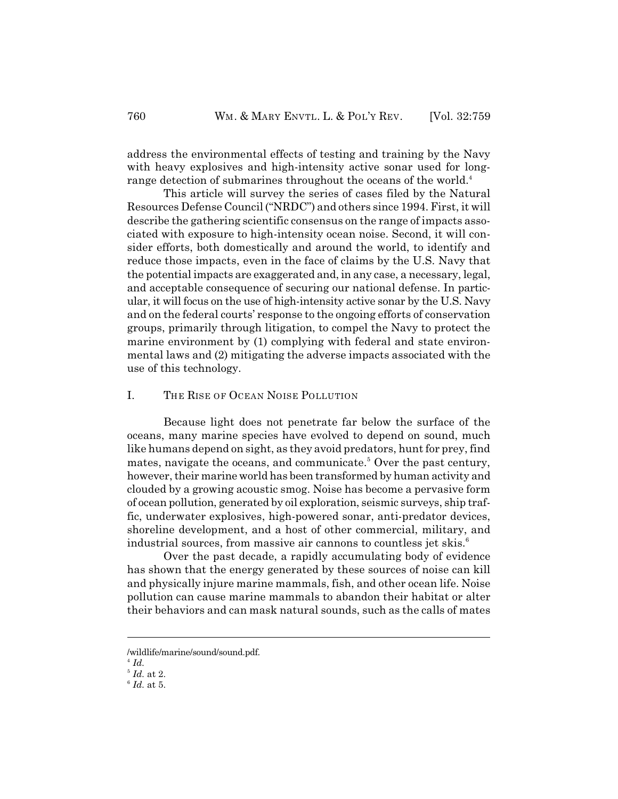address the environmental effects of testing and training by the Navy with heavy explosives and high-intensity active sonar used for longrange detection of submarines throughout the oceans of the world.<sup>4</sup>

This article will survey the series of cases filed by the Natural Resources Defense Council ("NRDC") and others since 1994. First, it will describe the gathering scientific consensus on the range of impacts associated with exposure to high-intensity ocean noise. Second, it will consider efforts, both domestically and around the world, to identify and reduce those impacts, even in the face of claims by the U.S. Navy that the potential impacts are exaggerated and, in any case, a necessary, legal, and acceptable consequence of securing our national defense. In particular, it will focus on the use of high-intensity active sonar by the U.S. Navy and on the federal courts' response to the ongoing efforts of conservation groups, primarily through litigation, to compel the Navy to protect the marine environment by (1) complying with federal and state environmental laws and (2) mitigating the adverse impacts associated with the use of this technology.

# I. THE RISE OF OCEAN NOISE POLLUTION

Because light does not penetrate far below the surface of the oceans, many marine species have evolved to depend on sound, much like humans depend on sight, as they avoid predators, hunt for prey, find mates, navigate the oceans, and communicate.<sup>5</sup> Over the past century, however, their marine world has been transformed by human activity and clouded by a growing acoustic smog. Noise has become a pervasive form of ocean pollution, generated by oil exploration, seismic surveys, ship traffic, underwater explosives, high-powered sonar, anti-predator devices, shoreline development, and a host of other commercial, military, and industrial sources, from massive air cannons to countless jet skis. 6

Over the past decade, a rapidly accumulating body of evidence has shown that the energy generated by these sources of noise can kill and physically injure marine mammals, fish, and other ocean life. Noise pollution can cause marine mammals to abandon their habitat or alter their behaviors and can mask natural sounds, such as the calls of mates

<sup>/</sup>wildlife/marine/sound/sound.pdf.

 $^{4}$   $Id.$ 

 $<sup>5</sup>$  *Id.* at 2.</sup>

 $<sup>6</sup>$  *Id.* at 5.</sup>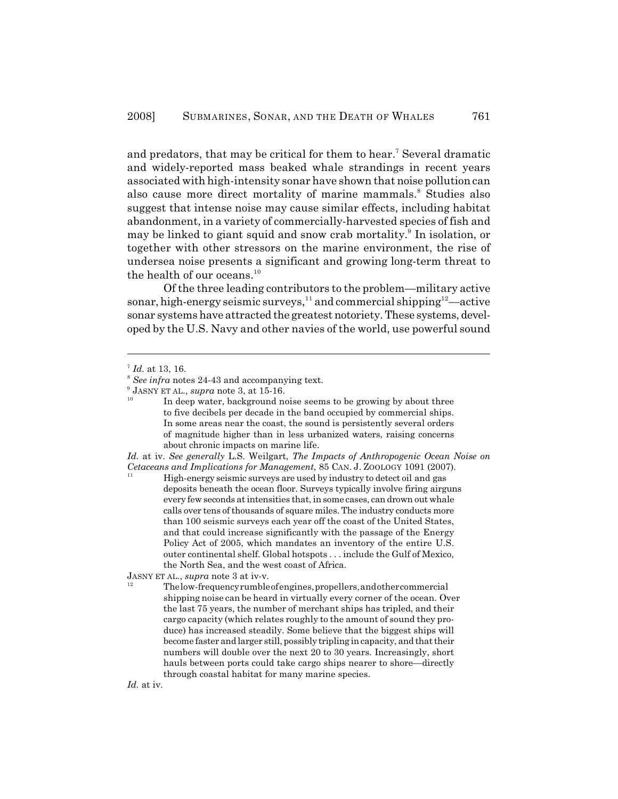and predators, that may be critical for them to hear.<sup>7</sup> Several dramatic and widely-reported mass beaked whale strandings in recent years associated with high-intensity sonar have shown that noise pollution can also cause more direct mortality of marine mammals.<sup>8</sup> Studies also suggest that intense noise may cause similar effects, including habitat abandonment, in a variety of commercially-harvested species of fish and may be linked to giant squid and snow crab mortality.<sup>9</sup> In isolation, or together with other stressors on the marine environment, the rise of undersea noise presents a significant and growing long-term threat to the health of our oceans.<sup>10</sup>

Of the three leading contributors to the problem—military active sonar, high-energy seismic surveys,  $11$  and commercial shipping  $12$  —active sonar systems have attracted the greatest notoriety. These systems, developed by the U.S. Navy and other navies of the world, use powerful sound

*Id.* at iv. *See generally* L.S. Weilgart, *The Impacts of Anthropogenic Ocean Noise on Cetaceans and Implications for Management*, 85 CAN. J. ZOOLOGY 1091 (2007). 11

deposits beneath the ocean floor. Surveys typically involve firing airguns High-energy seismic surveys are used by industry to detect oil and gas every few seconds at intensities that, in some cases, can drown out whale calls over tens of thousands of square miles. The industry conducts more than 100 seismic surveys each year off the coast of the United States, and that could increase significantly with the passage of the Energy Policy Act of 2005, which mandates an inventory of the entire U.S. outer continental shelf. Global hotspots . . . include the Gulf of Mexico, the North Sea, and the west coast of Africa.

JASNY ET AL., *supra* note 3 at iv-v.

shipping noise can be heard in virtually every corner of the ocean. Over The low-frequency rumble of engines,propellers, andother commercial the last 75 years, the number of merchant ships has tripled, and their cargo capacity (which relates roughly to the amount of sound they produce) has increased steadily. Some believe that the biggest ships will become faster and larger still, possibly tripling in capacity, and that their numbers will double over the next 20 to 30 years. Increasingly, short hauls between ports could take cargo ships nearer to shore—directly through coastal habitat for many marine species.

*Id.* at iv.

12

<sup>&</sup>lt;sup>7</sup> Id. at 13, 16.

<sup>&</sup>lt;sup>8</sup> See infra notes 24-43 and accompanying text.

 $<sup>9</sup>$  JASNY ET AL., *supra* note 3, at 15-16.</sup> 10

to five decibels per decade in the band occupied by commercial ships. In deep water, background noise seems to be growing by about three In some areas near the coast, the sound is persistently several orders of magnitude higher than in less urbanized waters, raising concerns about chronic impacts on marine life.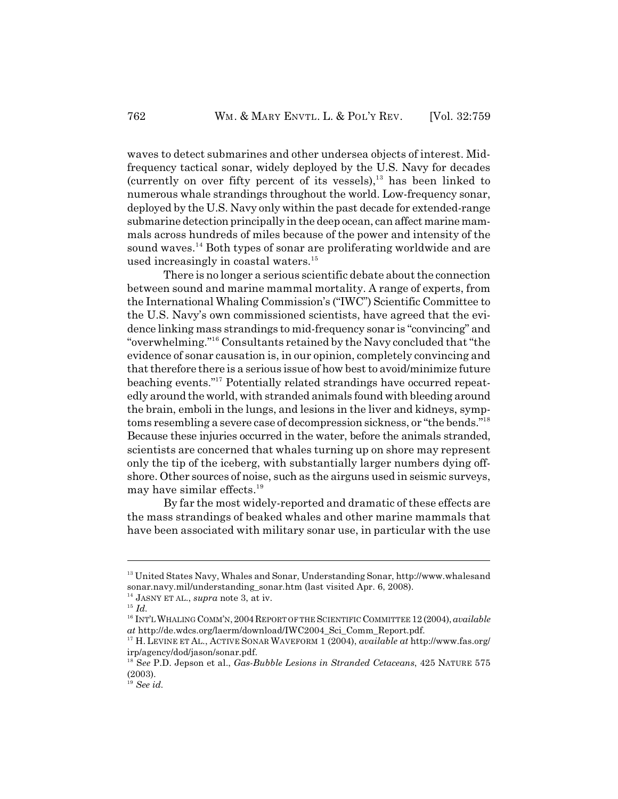waves to detect submarines and other undersea objects of interest. Midfrequency tactical sonar, widely deployed by the U.S. Navy for decades (currently on over fifty percent of its vessels), $13$  has been linked to numerous whale strandings throughout the world. Low-frequency sonar, deployed by the U.S. Navy only within the past decade for extended-range submarine detection principally in the deep ocean, can affect marine mammals across hundreds of miles because of the power and intensity of the sound waves.<sup>14</sup> Both types of sonar are proliferating worldwide and are used increasingly in coastal waters. 15

There is no longer a serious scientific debate about the connection between sound and marine mammal mortality. A range of experts, from the International Whaling Commission's ("IWC") Scientific Committee to the U.S. Navy's own commissioned scientists, have agreed that the evidence linking mass strandings to mid-frequency sonar is "convincing" and "overwhelming."<sup>16</sup> Consultants retained by the Navy concluded that "the evidence of sonar causation is, in our opinion, completely convincing and that therefore there is a serious issue of how best to avoid/minimize future beaching events."<sup>17</sup> Potentially related strandings have occurred repeatedly around the world, with stranded animals found with bleeding around the brain, emboli in the lungs, and lesions in the liver and kidneys, symptoms resembling a severe case of decompression sickness, or "the bends."<sup>18</sup> Because these injuries occurred in the water, before the animals stranded, scientists are concerned that whales turning up on shore may represent only the tip of the iceberg, with substantially larger numbers dying offshore. Other sources of noise, such as the airguns used in seismic surveys, may have similar effects.<sup>19</sup>

By far the most widely-reported and dramatic of these effects are the mass strandings of beaked whales and other marine mammals that have been associated with military sonar use, in particular with the use

 $^{13}$  United States Navy, Whales and Sonar, Understanding Sonar, http://www.whalesand sonar.navy.mil/understanding\_sonar.htm (last visited Apr. 6, 2008).

<sup>&</sup>lt;sup>14</sup> JASNY ET AL., *supra* note 3, at iv.

 $^{15}$  *Id.* 

<sup>&</sup>lt;sup>16</sup> INT'L WHALING COMM'N, 2004 REPORT OF THE SCIENTIFIC COMMITTEE 12 (2004), *available at* http://de.wdcs.org/laerm/download/IWC2004\_Sci\_Comm\_Report.pdf.

<sup>&</sup>lt;sup>17</sup> H. LEVINE ET AL., ACTIVE SONAR WAVEFORM 1 (2004), *available at* http://www.fas.org/ irp/agency/dod/jason/sonar.pdf.

<sup>&</sup>lt;sup>18</sup> See P.D. Jepson et al., *Gas-Bubble Lesions in Stranded Cetaceans*, 425 NATURE 575 (2003).

 $^{19}$  *See id.*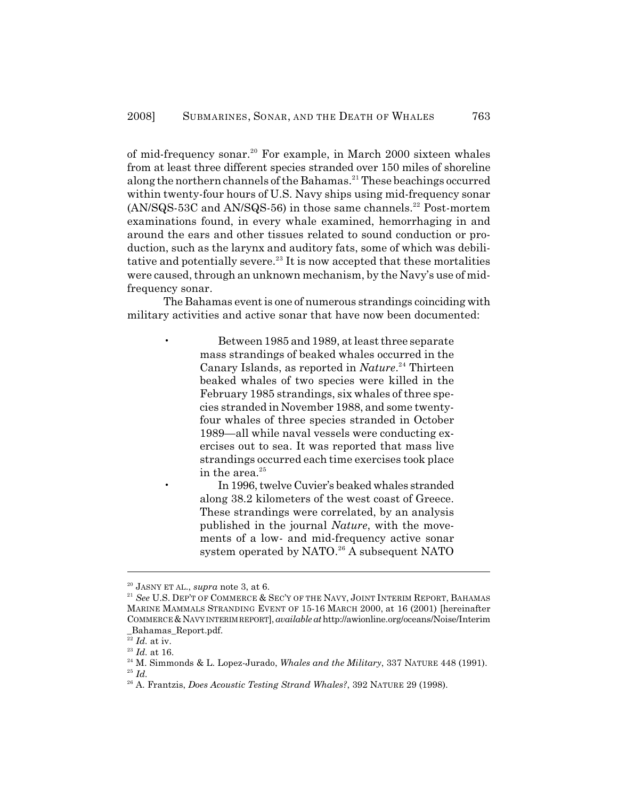of mid-frequency sonar.<sup>20</sup> For example, in March 2000 sixteen whales from at least three different species stranded over 150 miles of shoreline along the northern channels of the Bahamas.<sup>21</sup> These beachings occurred within twenty-four hours of U.S. Navy ships using mid-frequency sonar  $(AN/SQS-53C$  and  $AN/SQS-56$ ) in those same channels.<sup>22</sup> Post-mortem examinations found, in every whale examined, hemorrhaging in and around the ears and other tissues related to sound conduction or production, such as the larynx and auditory fats, some of which was debilitative and potentially severe.<sup>23</sup> It is now accepted that these mortalities were caused, through an unknown mechanism, by the Navy's use of midfrequency sonar.

The Bahamas event is one of numerous strandings coinciding with military activities and active sonar that have now been documented:

> • Between 1985 and 1989, at least three separate mass strandings of beaked whales occurred in the Canary Islands, as reported in *Nature*.<sup>24</sup> Thirteen beaked whales of two species were killed in the February 1985 strandings, six whales of three species stranded in November 1988, and some twentyfour whales of three species stranded in October 1989—all while naval vessels were conducting exercises out to sea. It was reported that mass live strandings occurred each time exercises took place in the area. $^{25}$

• In 1996, twelve Cuvier's beaked whales stranded along 38.2 kilometers of the west coast of Greece. These strandings were correlated, by an analysis published in the journal *Nature*, with the movements of a low- and mid-frequency active sonar system operated by NATO.<sup>26</sup> A subsequent NATO

 $^{20}$  JASNY ET AL., *supra* note 3, at 6.

<sup>&</sup>lt;sup>21</sup> See U.S. DEP'T OF COMMERCE & SEC'Y OF THE NAVY, JOINT INTERIM REPORT, BAHAMAS MARINE MAMMALS STRANDING EVENT OF 15-16 MARCH 2000, at 16 (2001) [hereinafter COMMERCE &NAVY INTERIM REPORT], *available at* http://awionline.org/oceans/Noise/Interim \_Bahamas\_Report.pdf.

 $\overline{22}$  *Id.* at iv.

 $^{23}$   $\emph{Id.}$  at 16.

 $^{24}$  M. Simmonds & L. Lopez-Jurado, *Whales and the Military*, 337 NATURE 448 (1991).

 $^{25}$  *Id.* 

<sup>&</sup>lt;sup>26</sup> A. Frantzis, *Does Acoustic Testing Strand Whales?*, 392 NATURE 29 (1998).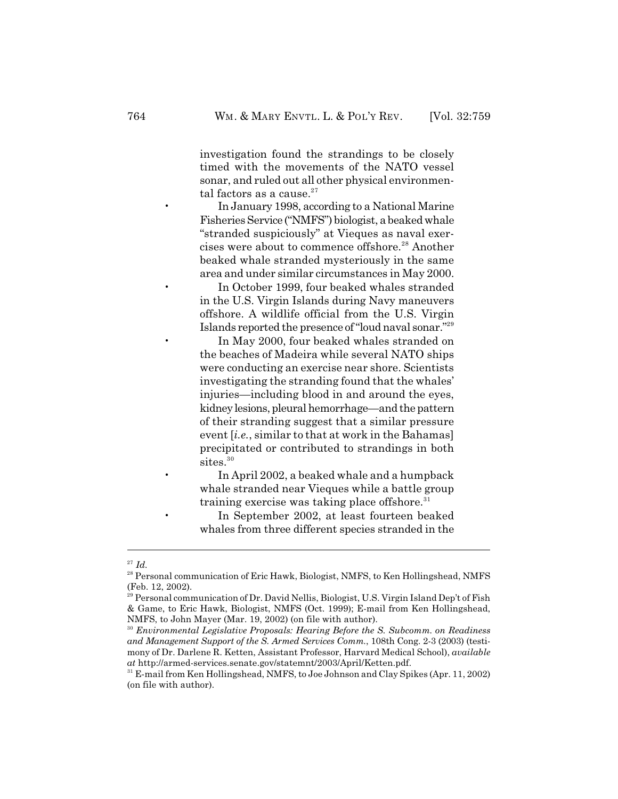investigation found the strandings to be closely timed with the movements of the NATO vessel sonar, and ruled out all other physical environmental factors as a cause. $^{27}$ 

• In January 1998, according to a National Marine Fisheries Service ("NMFS") biologist, a beaked whale "stranded suspiciously" at Vieques as naval exercises were about to commence offshore.<sup>28</sup> Another beaked whale stranded mysteriously in the same area and under similar circumstances in May 2000.

• In October 1999, four beaked whales stranded in the U.S. Virgin Islands during Navy maneuvers offshore. A wildlife official from the U.S. Virgin Islands reported the presence of "loud naval sonar."<sup>29</sup>

• In May 2000, four beaked whales stranded on the beaches of Madeira while several NATO ships were conducting an exercise near shore. Scientists investigating the stranding found that the whales' injuries—including blood in and around the eyes, kidney lesions, pleural hemorrhage—and the pattern of their stranding suggest that a similar pressure event [*i.e.*, similar to that at work in the Bahamas] precipitated or contributed to strandings in both sites.<sup>30</sup>

• In April 2002, a beaked whale and a humpback whale stranded near Vieques while a battle group training exercise was taking place offshore.<sup>31</sup>

• In September 2002, at least fourteen beaked whales from three different species stranded in the

 $^{27}$  *Id.* 

<sup>&</sup>lt;sup>28</sup> Personal communication of Eric Hawk, Biologist, NMFS, to Ken Hollingshead, NMFS (Feb. 12, 2002).

<sup>&</sup>lt;sup>29</sup> Personal communication of Dr. David Nellis, Biologist, U.S. Virgin Island Dep't of Fish & Game, to Eric Hawk, Biologist, NMFS (Oct. 1999); E-mail from Ken Hollingshead, NMFS, to John Mayer (Mar. 19, 2002) (on file with author).

<sup>&</sup>lt;sup>30</sup> Environmental Legislative Proposals: Hearing Before the S. Subcomm. on Readiness *and Management Support of the S. Armed Services Comm.*, 108th Cong. 2-3 (2003) (testimony of Dr. Darlene R. Ketten, Assistant Professor, Harvard Medical School), *available at* http://armed-services.senate.gov/statemnt/2003/April/Ketten.pdf.

 $^{31}$  E-mail from Ken Hollingshead, NMFS, to Joe Johnson and Clay Spikes (Apr. 11, 2002) (on file with author).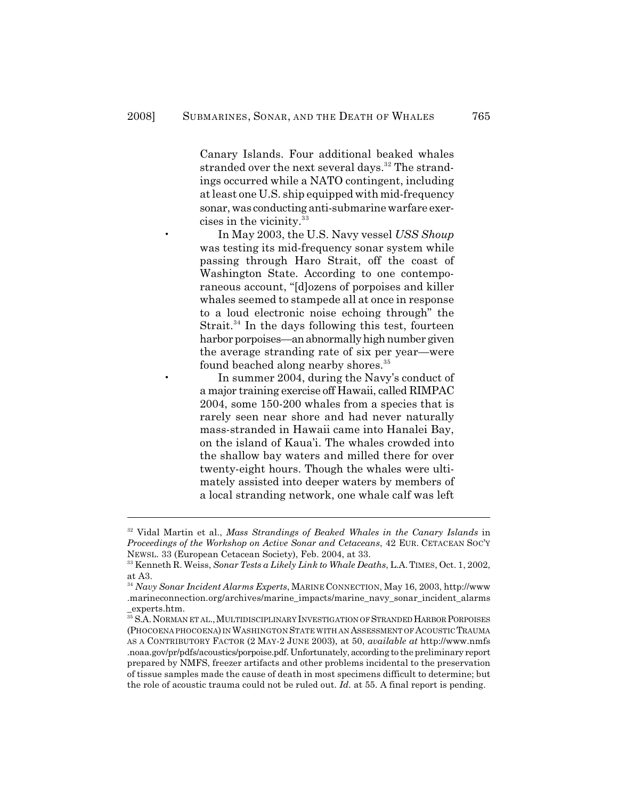Canary Islands. Four additional beaked whales stranded over the next several days.<sup>32</sup> The strandings occurred while a NATO contingent, including at least one U.S. ship equipped with mid-frequency sonar, was conducting anti-submarine warfare exercises in the vicinity.<sup>33</sup>

• In May 2003, the U.S. Navy vessel *USS Shoup* was testing its mid-frequency sonar system while passing through Haro Strait, off the coast of Washington State. According to one contemporaneous account, "[d]ozens of porpoises and killer whales seemed to stampede all at once in response to a loud electronic noise echoing through" the Strait. $34$  In the days following this test, fourteen harbor porpoises—an abnormally high number given the average stranding rate of six per year—were found beached along nearby shores. 35

In summer 2004, during the Navy's conduct of a major training exercise off Hawaii, called RIMPAC 2004, some 150-200 whales from a species that is rarely seen near shore and had never naturally mass-stranded in Hawaii came into Hanalei Bay, on the island of Kaua'i. The whales crowded into the shallow bay waters and milled there for over twenty-eight hours. Though the whales were ultimately assisted into deeper waters by members of a local stranding network, one whale calf was left

<sup>&</sup>lt;sup>32</sup> Vidal Martin et al., *Mass Strandings of Beaked Whales in the Canary Islands* in *Proceedings of the Workshop on Active Sonar and Cetaceans*, 42 EUR. CETACEAN SOC'Y NEWSL. 33 (European Cetacean Society), Feb. 2004, at 33.

<sup>&</sup>lt;sup>33</sup> Kenneth R. Weiss, *Sonar Tests a Likely Link to Whale Deaths*, L.A. TIMES, Oct. 1, 2002, at A3.

<sup>&</sup>lt;sup>34</sup> Navy Sonar Incident Alarms Experts, MARINE CONNECTION, May 16, 2003, http://www .marineconnection.org/archives/marine\_impacts/marine\_navy\_sonar\_incident\_alarms \_experts.htm.

 $^{35}$ S.A. NORMAN ET AL., MULTIDISCIPLINARY INVESTIGATION OF STRANDED HARBOR PORPOISES (PHOCOENA PHOCOENA) IN WASHINGTON STATE WITH AN ASSESSMENT OF ACOUSTIC TRAUMA AS A CONTRIBUTORY FACTOR (2 MAY-2 JUNE 2003), at 50, *available at* http://www.nmfs .noaa.gov/pr/pdfs/acoustics/porpoise.pdf. Unfortunately, according to the preliminary report prepared by NMFS, freezer artifacts and other problems incidental to the preservation of tissue samples made the cause of death in most specimens difficult to determine; but the role of acoustic trauma could not be ruled out. *Id.* at 55. A final report is pending.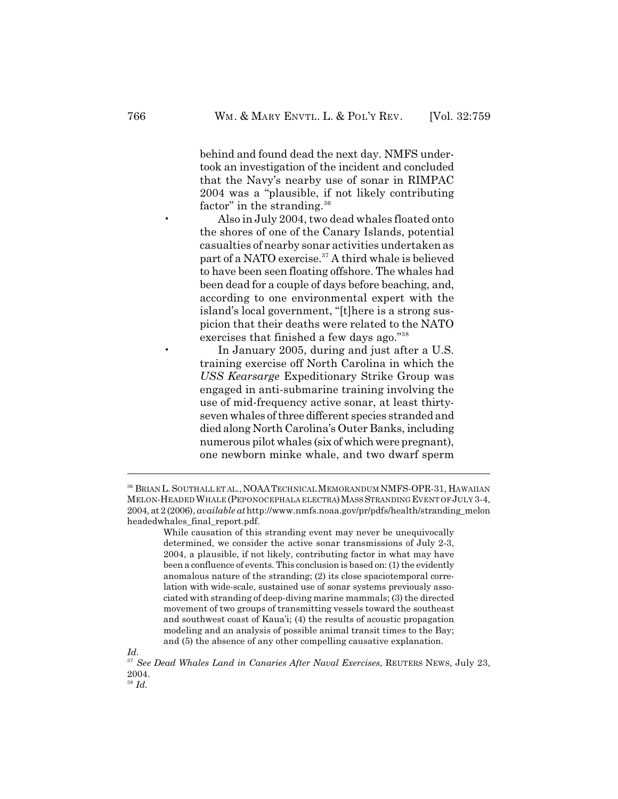behind and found dead the next day. NMFS undertook an investigation of the incident and concluded that the Navy's nearby use of sonar in RIMPAC 2004 was a "plausible, if not likely contributing factor" in the stranding. $36$ 

• Also in July 2004, two dead whales floated onto the shores of one of the Canary Islands, potential casualties of nearby sonar activities undertaken as part of a NATO exercise.<sup>37</sup> A third whale is believed to have been seen floating offshore. The whales had been dead for a couple of days before beaching, and, according to one environmental expert with the island's local government, "[t]here is a strong suspicion that their deaths were related to the NATO exercises that finished a few days ago."<sup>38</sup>

In January 2005, during and just after a U.S. training exercise off North Carolina in which the *USS Kearsarge* Expeditionary Strike Group was engaged in anti-submarine training involving the use of mid-frequency active sonar, at least thirtyseven whales of three different species stranded and died along North Carolina's Outer Banks, including numerous pilot whales (six of which were pregnant), one newborn minke whale, and two dwarf sperm

<sup>36</sup> BRIAN L. SOUTHALL ET AL., NOAA TECHNICAL MEMORANDUM NMFS-OPR-31, HAWAIIAN MELON-HEADED WHALE (PEPONOCEPHALA ELECTRA)MASS STRANDING EVENT OF JULY 3-4, 2004, at 2 (2006), *available at* http://www.nmfs.noaa.gov/pr/pdfs/health/stranding\_melon headedwhales\_final\_report.pdf.

While causation of this stranding event may never be unequivocally determined, we consider the active sonar transmissions of July 2-3, 2004, a plausible, if not likely, contributing factor in what may have been a confluence of events. This conclusion is based on: (1) the evidently anomalous nature of the stranding; (2) its close spaciotemporal correlation with wide-scale, sustained use of sonar systems previously associated with stranding of deep-diving marine mammals; (3) the directed movement of two groups of transmitting vessels toward the southeast and southwest coast of Kaua'i; (4) the results of acoustic propagation modeling and an analysis of possible animal transit times to the Bay; and (5) the absence of any other compelling causative explanation.

*Id.*

<sup>&</sup>lt;sup>37</sup> See Dead Whales Land in Canaries After Naval Exercises, REUTERS NEWS, July 23, 2004. *Id.* <sup>38</sup>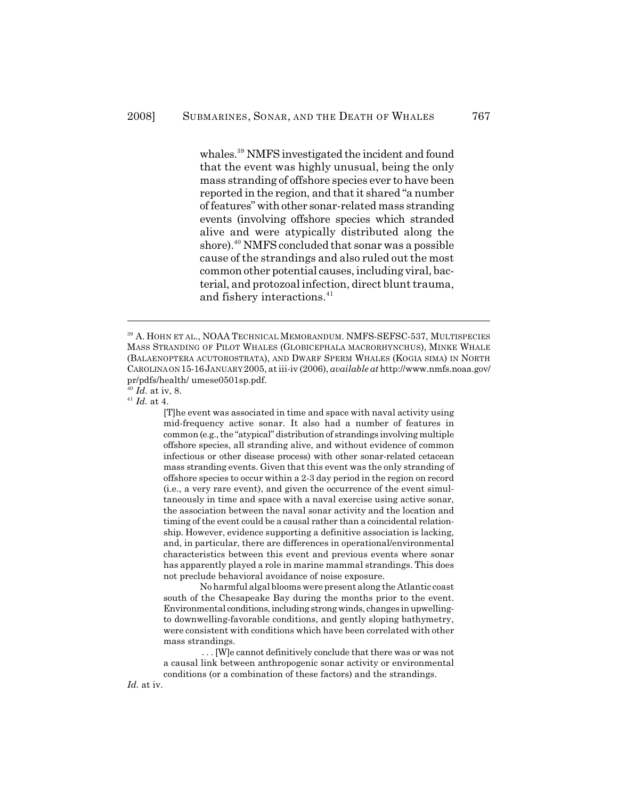whales.<sup>39</sup> NMFS investigated the incident and found that the event was highly unusual, being the only mass stranding of offshore species ever to have been reported in the region, and that it shared "a number of features" with other sonar-related mass stranding events (involving offshore species which stranded alive and were atypically distributed along the shore).<sup>40</sup> NMFS concluded that sonar was a possible cause of the strandings and also ruled out the most common other potential causes, including viral, bacterial, and protozoal infection, direct blunt trauma, and fishery interactions.<sup>41</sup>

[T]he event was associated in time and space with naval activity using mid-frequency active sonar. It also had a number of features in common (e.g., the "atypical" distribution of strandings involving multiple offshore species, all stranding alive, and without evidence of common infectious or other disease process) with other sonar-related cetacean mass stranding events. Given that this event was the only stranding of offshore species to occur within a 2-3 day period in the region on record (i.e., a very rare event), and given the occurrence of the event simultaneously in time and space with a naval exercise using active sonar, the association between the naval sonar activity and the location and timing of the event could be a causal rather than a coincidental relationship. However, evidence supporting a definitive association is lacking, and, in particular, there are differences in operational/environmental characteristics between this event and previous events where sonar has apparently played a role in marine mammal strandings. This does not preclude behavioral avoidance of noise exposure.

No harmful algal blooms were present along the Atlantic coast south of the Chesapeake Bay during the months prior to the event. Environmental conditions, including strong winds, changes in upwellingto downwelling-favorable conditions, and gently sloping bathymetry, were consistent with conditions which have been correlated with other mass strandings.

 . . . [W]e cannot definitively conclude that there was or was not a causal link between anthropogenic sonar activity or environmental conditions (or a combination of these factors) and the strandings.

*Id.* at iv.

<sup>&</sup>lt;sup>39</sup> A. HOHN ET AL., NOAA TECHNICAL MEMORANDUM. NMFS-SEFSC-537, MULTISPECIES MASS STRANDING OF PILOT WHALES (GLOBICEPHALA MACRORHYNCHUS), MINKE WHALE (BALAENOPTERA ACUTOROSTRATA), AND DWARF SPERM WHALES (KOGIA SIMA) IN NORTH CAROLINA ON 15-16JANUARY 2005, at iii-iv (2006), *available at* <http://www.nmfs.noaa.gov/> pr/pdfs/health/ umese0501sp.pdf.

*Id.* at iv, 8. 40

 $^{41}$  *Id.* at 4.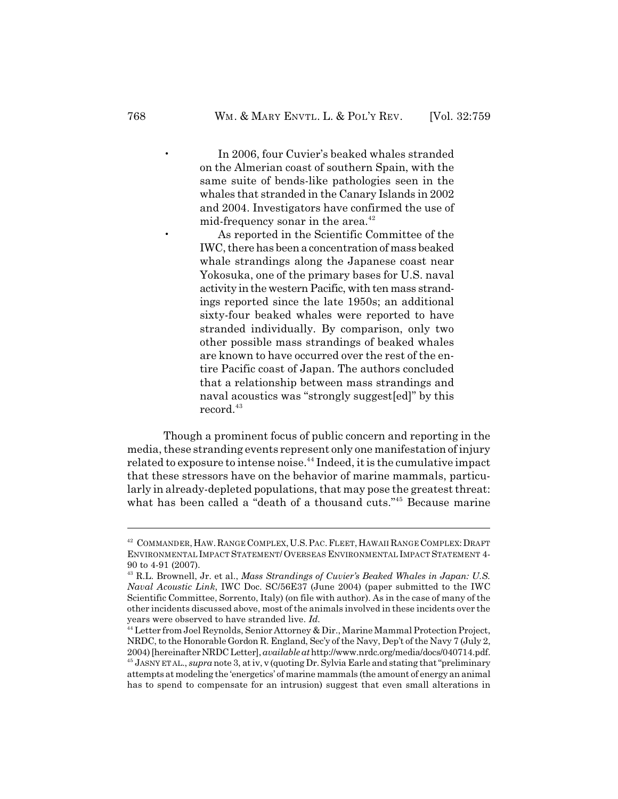In 2006, four Cuvier's beaked whales stranded on the Almerian coast of southern Spain, with the same suite of bends-like pathologies seen in the whales that stranded in the Canary Islands in 2002 and 2004. Investigators have confirmed the use of mid-frequency sonar in the area.<sup>42</sup>

• As reported in the Scientific Committee of the IWC, there has been a concentration of mass beaked whale strandings along the Japanese coast near Yokosuka, one of the primary bases for U.S. naval activity in the western Pacific, with ten mass strandings reported since the late 1950s; an additional sixty-four beaked whales were reported to have stranded individually. By comparison, only two other possible mass strandings of beaked whales are known to have occurred over the rest of the entire Pacific coast of Japan. The authors concluded that a relationship between mass strandings and naval acoustics was "strongly suggest[ed]" by this  $record.<sup>43</sup>$ 

Though a prominent focus of public concern and reporting in the media, these stranding events represent only one manifestation of injury related to exposure to intense noise.<sup>44</sup> Indeed, it is the cumulative impact that these stressors have on the behavior of marine mammals, particularly in already-depleted populations, that may pose the greatest threat: what has been called a "death of a thousand cuts."<sup>45</sup> Because marine

<sup>&</sup>lt;sup>42</sup> COMMANDER, HAW. RANGE COMPLEX, U.S. PAC. FLEET, HAWAII RANGE COMPLEX: DRAFT ENVIRONMENTAL IMPACT STATEMENT/ OVERSEAS ENVIRONMENTAL IMPACT STATEMENT 4- 90 to 4-91 (2007).

<sup>&</sup>lt;sup>43</sup> R.L. Brownell, Jr. et al., *Mass Strandings of Cuvier's Beaked Whales in Japan: U.S. Naval Acoustic Link*, IWC Doc. SC/56E37 (June 2004) (paper submitted to the IWC Scientific Committee, Sorrento, Italy) (on file with author). As in the case of many of the other incidents discussed above, most of the animals involved in these incidents over the years were observed to have stranded live. *Id.*

<sup>&</sup>lt;sup>44</sup> Letter from Joel Reynolds, Senior Attorney & Dir., Marine Mammal Protection Project, NRDC, to the Honorable Gordon R. England, Sec'y of the Navy, Dep't of the Navy 7 (July 2, 2004) [hereinafter NRDC Letter], *available at* http://www.nrdc.org/media/docs/040714.pdf. <sup>45</sup> JASNY ET AL., *supra* note 3, at iv, v (quoting Dr. Sylvia Earle and stating that "preliminary attempts at modeling the 'energetics' of marine mammals (the amount of energy an animal has to spend to compensate for an intrusion) suggest that even small alterations in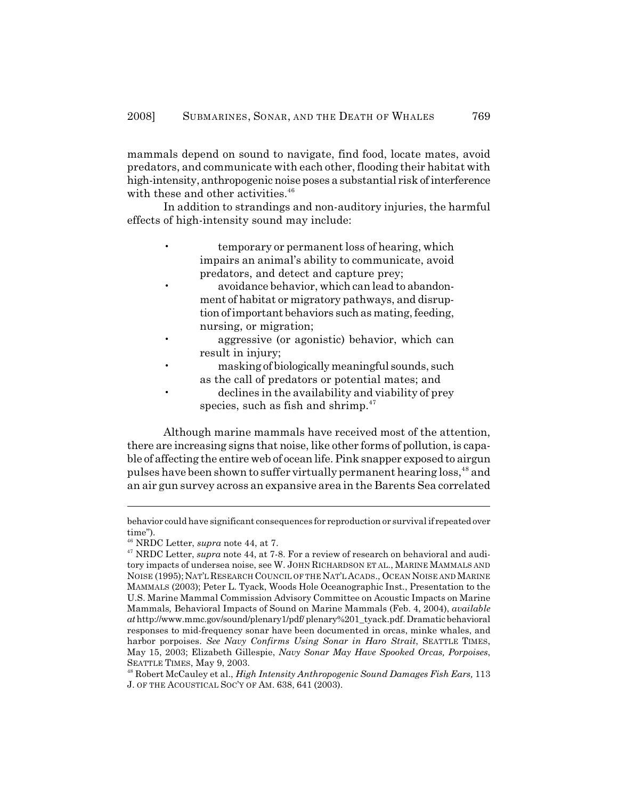mammals depend on sound to navigate, find food, locate mates, avoid predators, and communicate with each other, flooding their habitat with high-intensity, anthropogenic noise poses a substantial risk of interference with these and other activities.<sup>46</sup>

In addition to strandings and non-auditory injuries, the harmful effects of high-intensity sound may include:

- temporary or permanent loss of hearing, which impairs an animal's ability to communicate, avoid predators, and detect and capture prey;
	- avoidance behavior, which can lead to abandonment of habitat or migratory pathways, and disruption of important behaviors such as mating, feeding, nursing, or migration;
- aggressive (or agonistic) behavior, which can result in injury;
- masking of biologically meaningful sounds, such as the call of predators or potential mates; and
- declines in the availability and viability of prey species, such as fish and shrimp. $47$

Although marine mammals have received most of the attention, there are increasing signs that noise, like other forms of pollution, is capable of affecting the entire web of ocean life. Pink snapper exposed to airgun pulses have been shown to suffer virtually permanent hearing loss,<sup>48</sup> and an air gun survey across an expansive area in the Barents Sea correlated

behavior could have significant consequences for reproduction or survival if repeated over time").

<sup>&</sup>lt;sup>46</sup> NRDC Letter, *supra* note 44, at 7.

<sup>&</sup>lt;sup>47</sup> NRDC Letter, *supra* note 44, at 7-8. For a review of research on behavioral and auditory impacts of undersea noise, see W. JOHN RICHARDSON ET AL., MARINE MAMMALS AND NOISE (1995);NAT'L RESEARCH COUNCIL OF THE NAT'L ACADS., OCEAN NOISE AND MARINE MAMMALS (2003); Peter L. Tyack, Woods Hole Oceanographic Inst., Presentation to the U.S. Marine Mammal Commission Advisory Committee on Acoustic Impacts on Marine Mammals*,* Behavioral Impacts of Sound on Marine Mammals (Feb. 4, 2004), *available at* http://www.mmc.gov/sound/plenary1/pdf/ plenary%201\_tyack.pdf. Dramatic behavioral responses to mid-frequency sonar have been documented in orcas, minke whales, and harbor porpoises. *See Navy Confirms Using Sonar in Haro Strait*, SEATTLE TIMES, May 15, 2003; Elizabeth Gillespie, *Navy Sonar May Have Spooked Orcas, Porpoises*, SEATTLE TIMES, May 9, 2003.

<sup>&</sup>lt;sup>48</sup> Robert McCauley et al., *High Intensity Anthropogenic Sound Damages Fish Ears*, 113 J. OF THE ACOUSTICAL SOC'Y OF AM. 638, 641 (2003).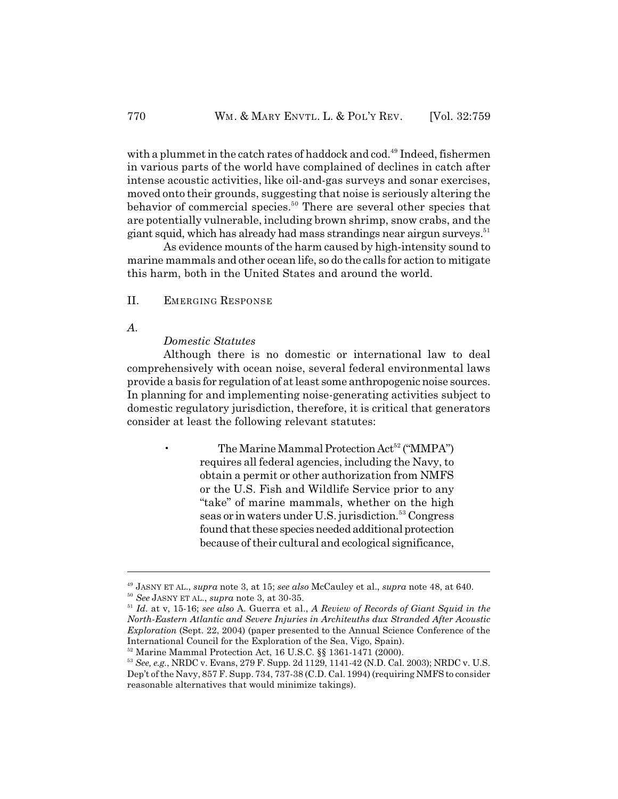with a plummet in the catch rates of haddock and cod.<sup>49</sup> Indeed, fishermen in various parts of the world have complained of declines in catch after intense acoustic activities, like oil-and-gas surveys and sonar exercises, moved onto their grounds, suggesting that noise is seriously altering the behavior of commercial species.<sup>50</sup> There are several other species that are potentially vulnerable, including brown shrimp, snow crabs, and the giant squid, which has already had mass strandings near airgun surveys.<sup>51</sup>

As evidence mounts of the harm caused by high-intensity sound to marine mammals and other ocean life, so do the calls for action to mitigate this harm, both in the United States and around the world.

II. EMERGING RESPONSE

*A.*

#### *Domestic Statutes*

Although there is no domestic or international law to deal comprehensively with ocean noise, several federal environmental laws provide a basis for regulation of at least some anthropogenic noise sources. In planning for and implementing noise-generating activities subject to domestic regulatory jurisdiction, therefore, it is critical that generators consider at least the following relevant statutes:

> The Marine Mammal Protection Act<sup>52</sup> ("MMPA") requires all federal agencies, including the Navy, to obtain a permit or other authorization from NMFS or the U.S. Fish and Wildlife Service prior to any "take" of marine mammals, whether on the high seas or in waters under U.S. jurisdiction.<sup>53</sup> Congress found that these species needed additional protection because of their cultural and ecological significance,

JASNY ET AL., *supra* note 3, at 15; *see also* McCauley et al., *supra* note 48, at 640. 49  $^{50}$  See JASNY ET AL., *supra* note 3, at 30-35.

<sup>&</sup>lt;sup>51</sup> Id. at v, 15-16; see also A. Guerra et al., *A Review of Records of Giant Squid in the North-Eastern Atlantic and Severe Injuries in Architeuths dux Stranded After Acoustic Exploration* (Sept. 22, 2004) (paper presented to the Annual Science Conference of the International Council for the Exploration of the Sea, Vigo, Spain).

<sup>&</sup>lt;sup>52</sup> Marine Mammal Protection Act, 16 U.S.C. §§ 1361-1471 (2000).

<sup>&</sup>lt;sup>53</sup> See, e.g., NRDC v. Evans, 279 F. Supp. 2d 1129, 1141-42 (N.D. Cal. 2003); NRDC v. U.S. Dep't of the Navy, 857 F. Supp. 734, 737-38 (C.D. Cal. 1994) (requiring NMFS to consider reasonable alternatives that would minimize takings).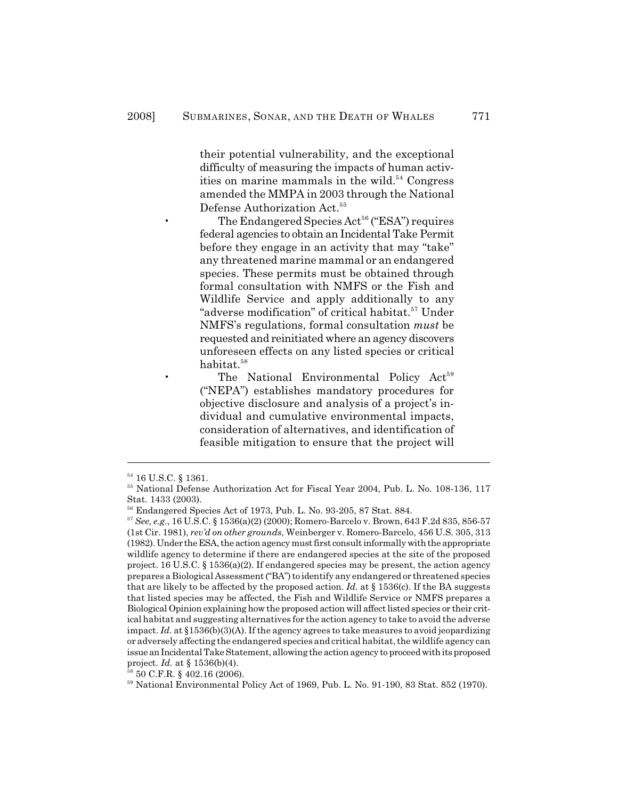their potential vulnerability, and the exceptional difficulty of measuring the impacts of human activities on marine mammals in the wild.<sup>54</sup> Congress amended the MMPA in 2003 through the National Defense Authorization Act.<sup>55</sup>

The Endangered Species  $Act^{56}$  ("ESA") requires federal agencies to obtain an Incidental Take Permit before they engage in an activity that may "take" any threatened marine mammal or an endangered species. These permits must be obtained through formal consultation with NMFS or the Fish and Wildlife Service and apply additionally to any "adverse modification" of critical habitat.<sup>57</sup> Under NMFS's regulations, formal consultation *must* be requested and reinitiated where an agency discovers unforeseen effects on any listed species or critical habitat. 58

The National Environmental Policy Act<sup>59</sup> ("NEPA") establishes mandatory procedures for objective disclosure and analysis of a project's individual and cumulative environmental impacts, consideration of alternatives, and identification of feasible mitigation to ensure that the project will

 $54$  16 U.S.C. § 1361.

<sup>&</sup>lt;sup>55</sup> National Defense Authorization Act for Fiscal Year 2004, Pub. L. No. 108-136, 117 Stat. 1433 (2003).

 $56$  Endangered Species Act of 1973, Pub. L. No. 93-205, 87 Stat. 884.

*See, e.g.*, 16 U.S.C. § 1536(a)(2) (2000); Romero-Barcelo v. Brown, 643 F.2d 835, 856-57 <sup>57</sup> (1st Cir. 1981), *rev'd on other grounds*, Weinberger v. Romero-Barcelo, 456 U.S. 305, 313 (1982). Under the ESA, the action agency must first consult informally with the appropriate wildlife agency to determine if there are endangered species at the site of the proposed project. 16 U.S.C. § 1536(a)(2). If endangered species may be present, the action agency prepares a Biological Assessment ("BA") to identify any endangered or threatened species that are likely to be affected by the proposed action. *Id.* at  $\S 1536(c)$ . If the BA suggests that listed species may be affected, the Fish and Wildlife Service or NMFS prepares a Biological Opinion explaining how the proposed action will affect listed species or their critical habitat and suggesting alternatives for the action agency to take to avoid the adverse impact. *Id.* at §1536(b)(3)(A). If the agency agrees to take measures to avoid jeopardizing or adversely affecting the endangered species and critical habitat, the wildlife agency can issue an Incidental Take Statement, allowing the action agency to proceed with its proposed project. *Id.* at § 1536(b)(4).

 $58$  50 C.F.R. § 402.16 (2006).

 $59$  National Environmental Policy Act of 1969, Pub. L. No. 91-190, 83 Stat. 852 (1970).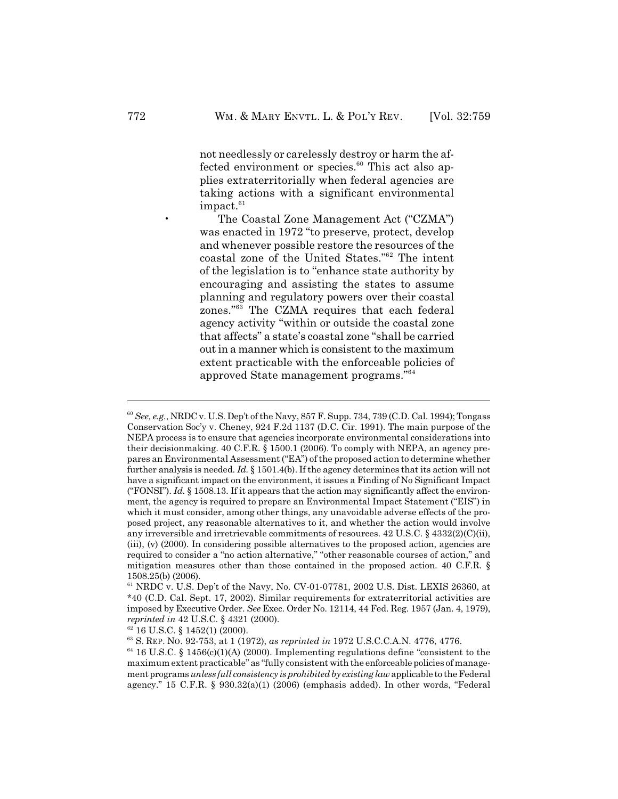not needlessly or carelessly destroy or harm the affected environment or species. $60$  This act also applies extraterritorially when federal agencies are taking actions with a significant environmental  $impect.<sup>61</sup>$ 

• The Coastal Zone Management Act ("CZMA") was enacted in 1972 "to preserve, protect, develop and whenever possible restore the resources of the coastal zone of the United States."<sup>62</sup> The intent of the legislation is to "enhance state authority by encouraging and assisting the states to assume planning and regulatory powers over their coastal zones."<sup>63</sup> The CZMA requires that each federal agency activity "within or outside the coastal zone that affects" a state's coastal zone "shall be carried out in a manner which is consistent to the maximum extent practicable with the enforceable policies of approved State management programs." 64

<sup>&</sup>lt;sup>60</sup> See, e.g., NRDC v. U.S. Dep't of the Navy, 857 F. Supp. 734, 739 (C.D. Cal. 1994); Tongass Conservation Soc'y v. Cheney, 924 F.2d 1137 (D.C. Cir. 1991). The main purpose of the NEPA process is to ensure that agencies incorporate environmental considerations into their decisionmaking. 40 C.F.R. § 1500.1 (2006). To comply with NEPA, an agency prepares an Environmental Assessment ("EA") of the proposed action to determine whether further analysis is needed. *Id.* § 1501.4(b). If the agency determines that its action will not have a significant impact on the environment, it issues a Finding of No Significant Impact ("FONSI"). *Id.*  $\S$  1508.13. If it appears that the action may significantly affect the environment, the agency is required to prepare an Environmental Impact Statement ("EIS") in which it must consider, among other things, any unavoidable adverse effects of the proposed project, any reasonable alternatives to it, and whether the action would involve any irreversible and irretrievable commitments of resources. 42 U.S.C. § 4332(2)(C)(ii), (iii), (v) (2000). In considering possible alternatives to the proposed action, agencies are required to consider a "no action alternative," "other reasonable courses of action," and mitigation measures other than those contained in the proposed action. 40 C.F.R. § 1508.25(b) (2006).

 $61$  NRDC v. U.S. Dep't of the Navy, No. CV-01-07781, 2002 U.S. Dist. LEXIS 26360, at \*40 (C.D. Cal. Sept. 17, 2002). Similar requirements for extraterritorial activities are imposed by Executive Order. *See* Exec. Order No. 12114, 44 Fed. Reg. 1957 (Jan. 4, 1979), *reprinted in* 42 U.S.C. § 4321 (2000).

 $62$  16 U.S.C. § 1452(1) (2000).

<sup>&</sup>lt;sup>63</sup> S. REP. No. 92-753, at 1 (1972), *as reprinted in* 1972 U.S.C.C.A.N. 4776, 4776.

 $64$  16 U.S.C. § 1456(c)(1)(A) (2000). Implementing regulations define "consistent to the maximum extent practicable" as "fully consistent with the enforceable policies of management programs *unless full consistency is prohibited by existing law*applicable to the Federal agency." 15 C.F.R.  $\S$  930.32(a)(1) (2006) (emphasis added). In other words, "Federal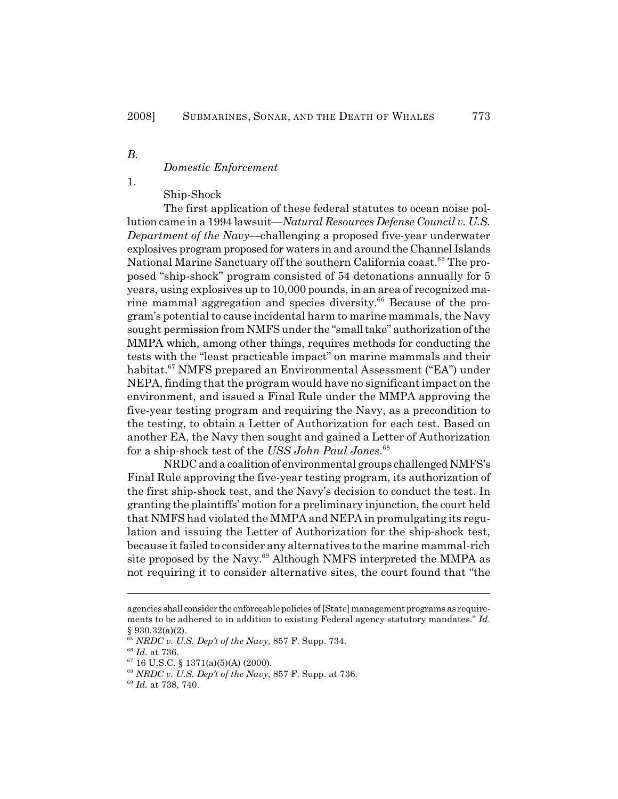*B.*

## *Domestic Enforcement*

1.

# Ship-Shock

The first application of these federal statutes to ocean noise pollution came in a 1994 lawsuit—*Natural Resources Defense Council v. U.S. Department of the Navy*—challenging a proposed five-year underwater explosives program proposed for waters in and around the Channel Islands National Marine Sanctuary off the southern California coast.<sup>65</sup> The proposed "ship-shock" program consisted of 54 detonations annually for 5 years, using explosives up to 10,000 pounds, in an area of recognized marine mammal aggregation and species diversity. $66$  Because of the program's potential to cause incidental harm to marine mammals, the Navy sought permission from NMFS under the "small take" authorization of the MMPA which, among other things, requires methods for conducting the tests with the "least practicable impact" on marine mammals and their habitat.<sup>67</sup> NMFS prepared an Environmental Assessment ("EA") under NEPA, finding that the program would have no significant impact on the environment, and issued a Final Rule under the MMPA approving the five-year testing program and requiring the Navy, as a precondition to the testing, to obtain a Letter of Authorization for each test. Based on another EA, the Navy then sought and gained a Letter of Authorization for a ship-shock test of the *USS John Paul Jones*. 68

NRDC and a coalition of environmental groups challenged NMFS's Final Rule approving the five-year testing program, its authorization of the first ship-shock test, and the Navy's decision to conduct the test. In granting the plaintiffs' motion for a preliminary injunction, the court held that NMFS had violated the MMPA and NEPA in promulgating its regulation and issuing the Letter of Authorization for the ship-shock test, because it failed to consider any alternatives to the marine mammal-rich site proposed by the Navy. $69$  Although NMFS interpreted the MMPA as not requiring it to consider alternative sites, the court found that "the

agencies shall consider the enforceable policies of [State] management programs as requirements to be adhered to in addition to existing Federal agency statutory mandates." *Id.* § 930.32(a)(2).

*NRDC v. U.S. Dep't of the Navy*, 857 F. Supp. 734. 65

 $^{66}$  *Id.* at 736.

 $67$  16 U.S.C. § 1371(a)(5)(A) (2000).

*NRDC v. U.S. Dep't of the Navy*, 857 F. Supp. at 736. 68

<sup>&</sup>lt;sup>69</sup> *Id.* at 738, 740.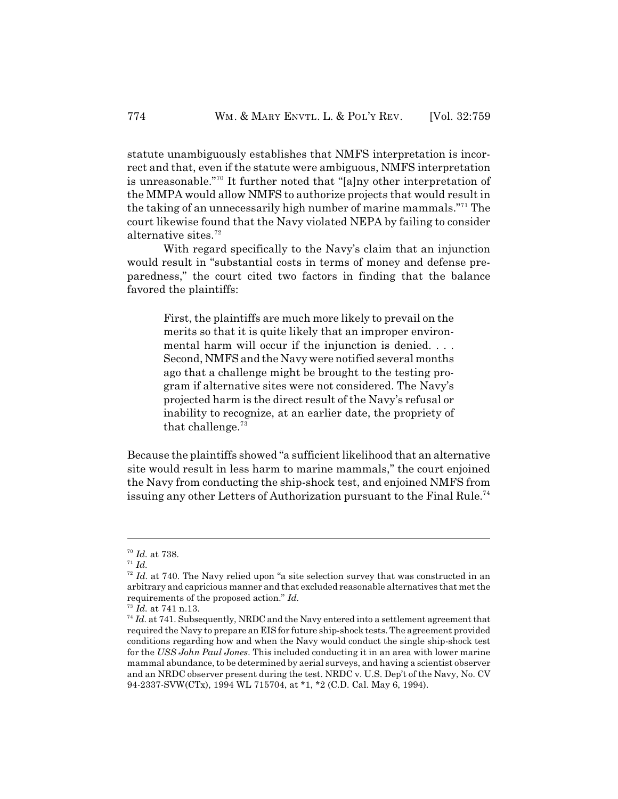statute unambiguously establishes that NMFS interpretation is incorrect and that, even if the statute were ambiguous, NMFS interpretation is unreasonable."<sup>70</sup> It further noted that "[a]ny other interpretation of the MMPA would allow NMFS to authorize projects that would result in the taking of an unnecessarily high number of marine mammals.<sup>" $71$ </sup> The court likewise found that the Navy violated NEPA by failing to consider alternative sites.<sup>72</sup>

With regard specifically to the Navy's claim that an injunction would result in "substantial costs in terms of money and defense preparedness," the court cited two factors in finding that the balance favored the plaintiffs:

First, the plaintiffs are much more likely to prevail on the merits so that it is quite likely that an improper environmental harm will occur if the injunction is denied. . . . Second, NMFS and the Navy were notified several months ago that a challenge might be brought to the testing program if alternative sites were not considered. The Navy's projected harm is the direct result of the Navy's refusal or inability to recognize, at an earlier date, the propriety of that challenge. $73$ 

Because the plaintiffs showed "a sufficient likelihood that an alternative site would result in less harm to marine mammals," the court enjoined the Navy from conducting the ship-shock test, and enjoined NMFS from issuing any other Letters of Authorization pursuant to the Final Rule.<sup>74</sup>

<sup>&</sup>lt;sup>70</sup> Id. at 738.

 $I^1$  *Id.* 

 $I<sup>72</sup>$  *Id.* at 740. The Navy relied upon "a site selection survey that was constructed in an arbitrary and capricious manner and that excluded reasonable alternatives that met the requirements of the proposed action." *Id.*

<sup>&</sup>lt;sup>73</sup> Id. at 741 n.13.

 $I^4$  *Id.* at 741. Subsequently, NRDC and the Navy entered into a settlement agreement that required the Navy to prepare an EIS for future ship-shock tests. The agreement provided conditions regarding how and when the Navy would conduct the single ship-shock test for the *USS John Paul Jones*. This included conducting it in an area with lower marine mammal abundance, to be determined by aerial surveys, and having a scientist observer and an NRDC observer present during the test. NRDC v. U.S. Dep't of the Navy, No. CV 94-2337-SVW(CTx), 1994 WL 715704, at \*1, \*2 (C.D. Cal. May 6, 1994).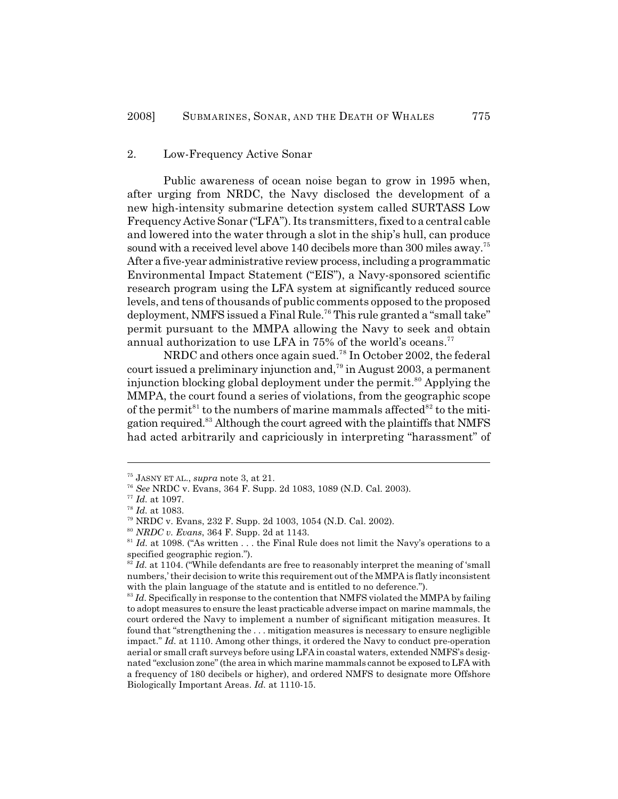#### 2. Low-Frequency Active Sonar

Public awareness of ocean noise began to grow in 1995 when, after urging from NRDC, the Navy disclosed the development of a new high-intensity submarine detection system called SURTASS Low Frequency Active Sonar ("LFA"). Its transmitters, fixed to a central cable and lowered into the water through a slot in the ship's hull, can produce sound with a received level above 140 decibels more than 300 miles away.<sup>75</sup> After a five-year administrative review process, including a programmatic Environmental Impact Statement ("EIS"), a Navy-sponsored scientific research program using the LFA system at significantly reduced source levels, and tens of thousands of public comments opposed to the proposed deployment, NMFS issued a Final Rule.<sup>76</sup> This rule granted a "small take" permit pursuant to the MMPA allowing the Navy to seek and obtain annual authorization to use LFA in 75% of the world's oceans.<sup>77</sup>

NRDC and others once again sued.<sup>78</sup> In October 2002, the federal court issued a preliminary injunction and,<sup> $79$ </sup> in August 2003, a permanent injunction blocking global deployment under the permit. $^{80}$  Applying the MMPA, the court found a series of violations, from the geographic scope of the permit<sup>81</sup> to the numbers of marine mammals affected<sup>82</sup> to the mitigation required.<sup>83</sup> Although the court agreed with the plaintiffs that NMFS had acted arbitrarily and capriciously in interpreting "harassment" of

<sup>&</sup>lt;sup>75</sup> JASNY ET AL., *supra* note 3, at 21.

*See* NRDC v. Evans, 364 F. Supp. 2d 1083, 1089 (N.D. Cal. 2003). 76

 $^{77}$   $\emph{Id.}$  at 1097.

 $^{78}$   $\it{Id.}$  at 1083.

NRDC v. Evans, 232 F. Supp. 2d 1003, 1054 (N.D. Cal. 2002). 79

<sup>&</sup>lt;sup>80</sup> NRDC v. Evans, 364 F. Supp. 2d at 1143.

 $I<sup>81</sup>$  *Id.* at 1098. ("As written . . . the Final Rule does not limit the Navy's operations to a specified geographic region.").

*Id.* at 1104. ("While defendants are free to reasonably interpret the meaning of 'small numbers,' their decision to write this requirement out of the MMPA is flatly inconsistent with the plain language of the statute and is entitled to no deference.").

 $I<sup>83</sup>$  *Id.* Specifically in response to the contention that NMFS violated the MMPA by failing to adopt measures to ensure the least practicable adverse impact on marine mammals, the court ordered the Navy to implement a number of significant mitigation measures. It found that "strengthening the . . . mitigation measures is necessary to ensure negligible impact." *Id.* at 1110. Among other things, it ordered the Navy to conduct pre-operation aerial or small craft surveys before using LFA in coastal waters, extended NMFS's designated "exclusion zone" (the area in which marine mammals cannot be exposed to LFA with a frequency of 180 decibels or higher), and ordered NMFS to designate more Offshore Biologically Important Areas. *Id.* at 1110-15.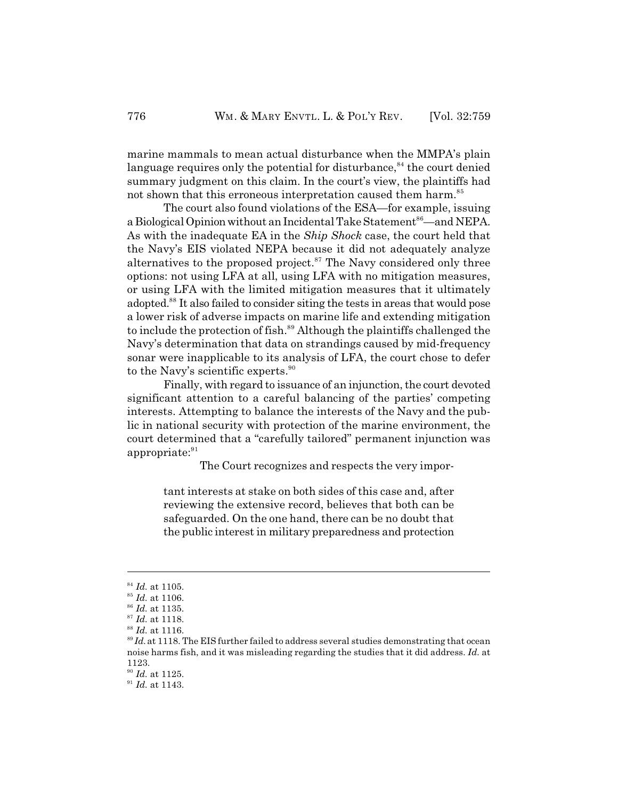marine mammals to mean actual disturbance when the MMPA's plain language requires only the potential for disturbance, $84$  the court denied summary judgment on this claim. In the court's view, the plaintiffs had not shown that this erroneous interpretation caused them harm.<sup>85</sup>

The court also found violations of the ESA—for example, issuing a Biological Opinion without an Incidental Take Statement<sup>86</sup>—and NEPA. As with the inadequate EA in the *Ship Shock* case, the court held that the Navy's EIS violated NEPA because it did not adequately analyze alternatives to the proposed project.<sup>87</sup> The Navy considered only three options: not using LFA at all, using LFA with no mitigation measures, or using LFA with the limited mitigation measures that it ultimately adopted.<sup>88</sup> It also failed to consider siting the tests in areas that would pose a lower risk of adverse impacts on marine life and extending mitigation to include the protection of fish.<sup>89</sup> Although the plaintiffs challenged the Navy's determination that data on strandings caused by mid-frequency sonar were inapplicable to its analysis of LFA, the court chose to defer to the Navy's scientific experts.<sup>90</sup>

Finally, with regard to issuance of an injunction, the court devoted significant attention to a careful balancing of the parties' competing interests. Attempting to balance the interests of the Navy and the public in national security with protection of the marine environment, the court determined that a "carefully tailored" permanent injunction was appropriate: 91

The Court recognizes and respects the very impor-

tant interests at stake on both sides of this case and, after reviewing the extensive record, believes that both can be safeguarded. On the one hand, there can be no doubt that the public interest in military preparedness and protection

 $^{90}$  *Id.* at 1125.

 $^{84}$  *Id.* at 1105.

 $^{85}$  *Id.* at 1106.

<sup>&</sup>lt;sup>86</sup> Id. at 1135.

<sup>&</sup>lt;sup>87</sup> Id. at 1118.

<sup>&</sup>lt;sup>88</sup> Id. at 1116.

 $I<sup>89</sup>Id$ , at 1118. The EIS further failed to address several studies demonstrating that ocean noise harms fish, and it was misleading regarding the studies that it did address. *Id.* at 1123.

<sup>&</sup>lt;sup>91</sup> *Id.* at 1143.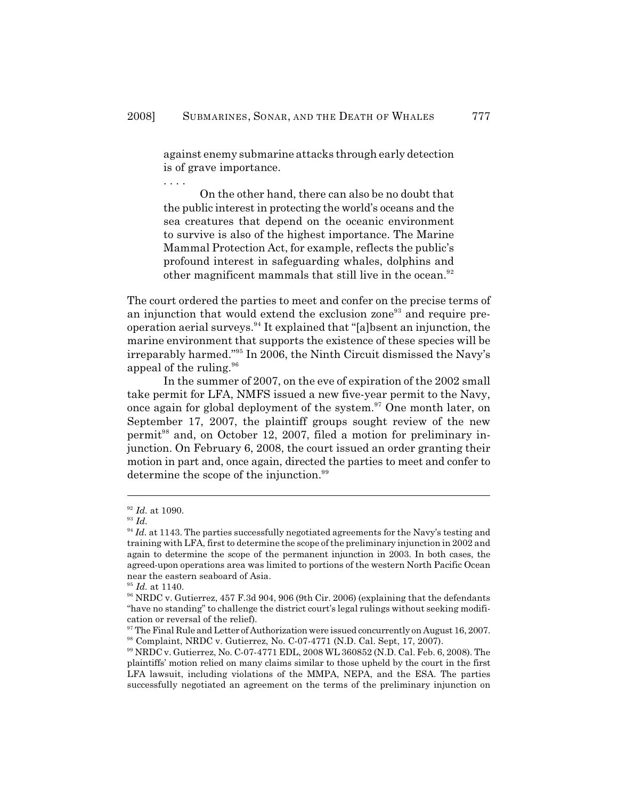against enemy submarine attacks through early detection is of grave importance.

. . . .

On the other hand, there can also be no doubt that the public interest in protecting the world's oceans and the sea creatures that depend on the oceanic environment to survive is also of the highest importance. The Marine Mammal Protection Act, for example, reflects the public's profound interest in safeguarding whales, dolphins and other magnificent mammals that still live in the ocean.<sup>92</sup>

The court ordered the parties to meet and confer on the precise terms of an injunction that would extend the exclusion zone<sup>93</sup> and require preoperation aerial surveys.<sup>94</sup> It explained that "[a]bsent an injunction, the marine environment that supports the existence of these species will be irreparably harmed."<sup>95</sup> In 2006, the Ninth Circuit dismissed the Navy's appeal of the ruling.<sup>96</sup>

In the summer of 2007, on the eve of expiration of the 2002 small take permit for LFA, NMFS issued a new five-year permit to the Navy, once again for global deployment of the system.<sup>97</sup> One month later, on September 17, 2007, the plaintiff groups sought review of the new permit<sup>98</sup> and, on October 12, 2007, filed a motion for preliminary injunction. On February 6, 2008, the court issued an order granting their motion in part and, once again, directed the parties to meet and confer to determine the scope of the injunction.<sup>99</sup>

<sup>&</sup>lt;sup>92</sup> Id. at 1090.

 $^{93}$  *Id.* 

 $I^{94}$  *Id.* at 1143. The parties successfully negotiated agreements for the Navy's testing and training with LFA, first to determine the scope of the preliminary injunction in 2002 and again to determine the scope of the permanent injunction in 2003. In both cases, the agreed-upon operations area was limited to portions of the western North Pacific Ocean near the eastern seaboard of Asia.

 $^{95}$  Id. at 1140.

<sup>&</sup>lt;sup>96</sup> NRDC v. Gutierrez,  $457$  F.3d 904, 906 (9th Cir. 2006) (explaining that the defendants "have no standing" to challenge the district court's legal rulings without seeking modification or reversal of the relief).

 $\frac{97}{97}$  The Final Rule and Letter of Authorization were issued concurrently on August 16, 2007.  $^{98}$  Complaint, NRDC v. Gutierrez, No. C-07-4771 (N.D. Cal. Sept, 17, 2007).

<sup>&</sup>lt;sup>99</sup> NRDC v. Gutierrez, No. C-07-4771 EDL, 2008 WL 360852 (N.D. Cal. Feb. 6, 2008). The plaintiffs' motion relied on many claims similar to those upheld by the court in the first LFA lawsuit, including violations of the MMPA, NEPA, and the ESA. The parties successfully negotiated an agreement on the terms of the preliminary injunction on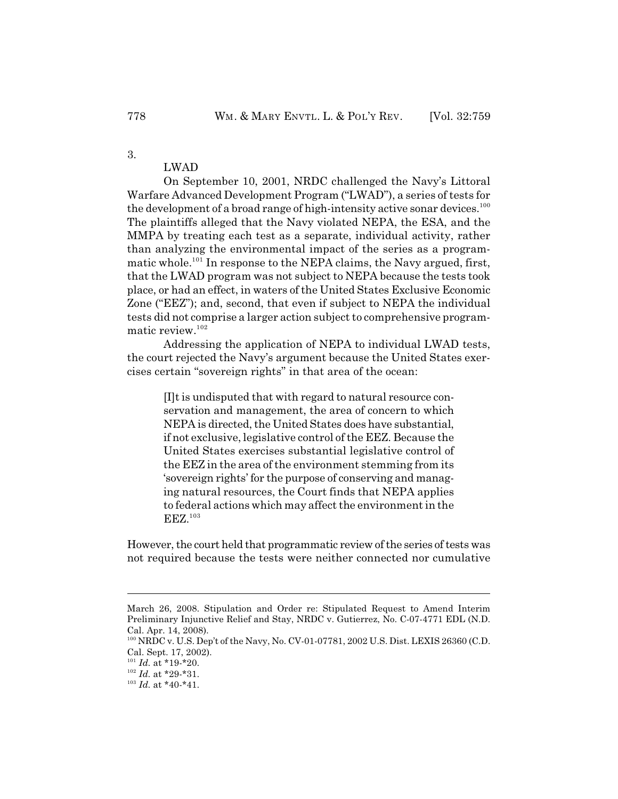# LWAD

On September 10, 2001, NRDC challenged the Navy's Littoral Warfare Advanced Development Program ("LWAD"), a series of tests for the development of a broad range of high-intensity active sonar devices.<sup>100</sup> The plaintiffs alleged that the Navy violated NEPA, the ESA, and the MMPA by treating each test as a separate, individual activity, rather than analyzing the environmental impact of the series as a programmatic whole.<sup>101</sup> In response to the NEPA claims, the Navy argued, first, that the LWAD program was not subject to NEPA because the tests took place, or had an effect, in waters of the United States Exclusive Economic Zone ("EEZ"); and, second, that even if subject to NEPA the individual tests did not comprise a larger action subject to comprehensive programmatic review.<sup>102</sup>

Addressing the application of NEPA to individual LWAD tests, the court rejected the Navy's argument because the United States exercises certain "sovereign rights" in that area of the ocean:

[I]t is undisputed that with regard to natural resource conservation and management, the area of concern to which NEPA is directed, the United States does have substantial, if not exclusive, legislative control of the EEZ. Because the United States exercises substantial legislative control of the EEZ in the area of the environment stemming from its 'sovereign rights' for the purpose of conserving and managing natural resources, the Court finds that NEPA applies to federal actions which may affect the environment in the EEZ.<sup>103</sup>

However, the court held that programmatic review of the series of tests was not required because the tests were neither connected nor cumulative

3.

March 26, 2008. Stipulation and Order re: Stipulated Request to Amend Interim Preliminary Injunctive Relief and Stay, NRDC v. Gutierrez, No. C-07-4771 EDL (N.D. Cal. Apr. 14, 2008).

 $100$  NRDC v. U.S. Dep't of the Navy, No. CV-01-07781, 2002 U.S. Dist. LEXIS 26360 (C.D. Cal. Sept. 17, 2002).

 $^{101}$  *Id.* at \*19-\*20.

 $^{102}$  *Id.* at \*29-\*31.

 $^{103}$  *Id.* at \*40-\*41.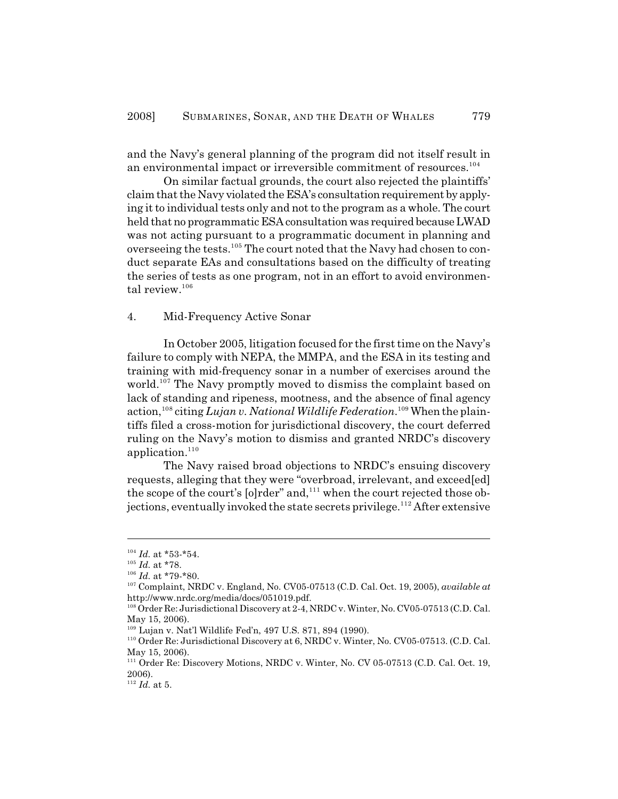and the Navy's general planning of the program did not itself result in an environmental impact or irreversible commitment of resources.<sup>104</sup>

On similar factual grounds, the court also rejected the plaintiffs' claim that the Navy violated the ESA's consultation requirement by applying it to individual tests only and not to the program as a whole. The court held that no programmatic ESA consultation was required because LWAD was not acting pursuant to a programmatic document in planning and overseeing the tests.<sup>105</sup> The court noted that the Navy had chosen to conduct separate EAs and consultations based on the difficulty of treating the series of tests as one program, not in an effort to avoid environmental review.<sup>106</sup>

#### 4. Mid-Frequency Active Sonar

In October 2005, litigation focused for the first time on the Navy's failure to comply with NEPA, the MMPA, and the ESA in its testing and training with mid-frequency sonar in a number of exercises around the world.<sup>107</sup> The Navy promptly moved to dismiss the complaint based on lack of standing and ripeness, mootness, and the absence of final agency action, <sup>108</sup> citing *Lujan v. National Wildlife Federation*. <sup>109</sup> When the plaintiffs filed a cross-motion for jurisdictional discovery, the court deferred ruling on the Navy's motion to dismiss and granted NRDC's discovery application.<sup>110</sup>

The Navy raised broad objections to NRDC's ensuing discovery requests, alleging that they were "overbroad, irrelevant, and exceed[ed] the scope of the court's [o]rder" and,<sup>111</sup> when the court rejected those objections, eventually invoked the state secrets privilege.<sup>112</sup> After extensive

 $^{104}$  *Id.* at \*53-\*54.

 $^{105}$  *Id.* at \*78.

 $^{106}$  *Id.* at \*79-\*80.

 $^{107}$  Complaint, NRDC v. England, No. CV05-07513 (C.D. Cal. Oct. 19, 2005), *available at* http://www.nrdc.org/media/docs/051019.pdf.

 $^{108}$  Order Re: Jurisdictional Discovery at 2-4, NRDC v. Winter, No. CV05-07513 (C.D. Cal. May 15, 2006).

<sup>&</sup>lt;sup>109</sup> Lujan v. Nat'l Wildlife Fed'n, 497 U.S. 871, 894 (1990).

 $^{110}$  Order Re: Jurisdictional Discovery at 6, NRDC v. Winter, No. CV05-07513. (C.D. Cal. May 15, 2006).

<sup>&</sup>lt;sup>111</sup> Order Re: Discovery Motions, NRDC v. Winter, No. CV 05-07513 (C.D. Cal. Oct. 19, 2006).

 $^{112}$  *Id.* at 5.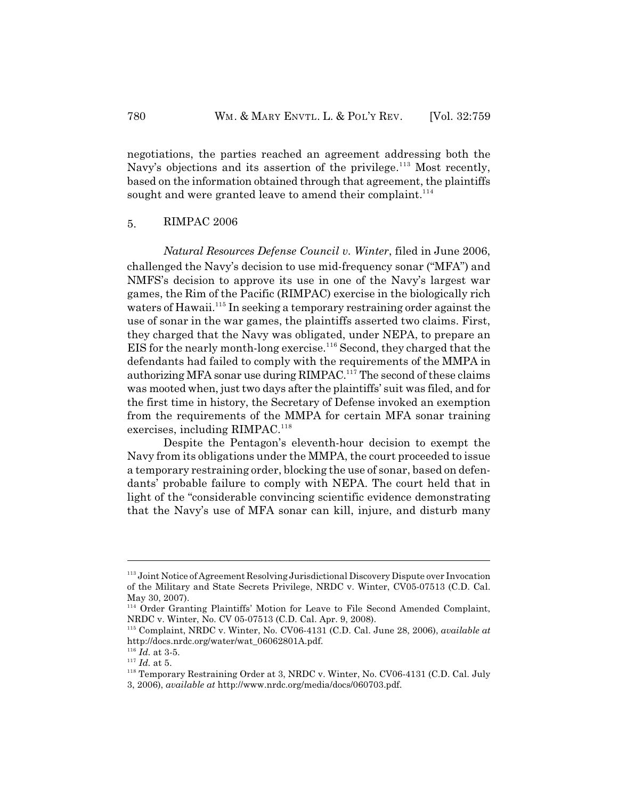negotiations, the parties reached an agreement addressing both the Navy's objections and its assertion of the privilege.<sup>113</sup> Most recently, based on the information obtained through that agreement, the plaintiffs sought and were granted leave to amend their complaint.<sup>114</sup>

## 5. RIMPAC 2006

*Natural Resources Defense Council v. Winter*, filed in June 2006, challenged the Navy's decision to use mid-frequency sonar ("MFA") and NMFS's decision to approve its use in one of the Navy's largest war games, the Rim of the Pacific (RIMPAC) exercise in the biologically rich waters of Hawaii.<sup>115</sup> In seeking a temporary restraining order against the use of sonar in the war games, the plaintiffs asserted two claims. First, they charged that the Navy was obligated, under NEPA, to prepare an EIS for the nearly month-long exercise.<sup>116</sup> Second, they charged that the defendants had failed to comply with the requirements of the MMPA in authorizing MFA sonar use during RIMPAC.<sup>117</sup> The second of these claims was mooted when, just two days after the plaintiffs' suit was filed, and for the first time in history, the Secretary of Defense invoked an exemption from the requirements of the MMPA for certain MFA sonar training exercises, including RIMPAC.<sup>118</sup>

Despite the Pentagon's eleventh-hour decision to exempt the Navy from its obligations under the MMPA, the court proceeded to issue a temporary restraining order, blocking the use of sonar, based on defendants' probable failure to comply with NEPA. The court held that in light of the "considerable convincing scientific evidence demonstrating that the Navy's use of MFA sonar can kill, injure, and disturb many

 $113$  Joint Notice of Agreement Resolving Jurisdictional Discovery Dispute over Invocation of the Military and State Secrets Privilege, NRDC v. Winter, CV05-07513 (C.D. Cal. May 30, 2007).

<sup>&</sup>lt;sup>114</sup> Order Granting Plaintiffs' Motion for Leave to File Second Amended Complaint, NRDC v. Winter, No. CV 05-07513 (C.D. Cal. Apr. 9, 2008).

<sup>&</sup>lt;sup>115</sup> Complaint, NRDC v. Winter, No. CV06-4131 (C.D. Cal. June 28, 2006), *available at* http://docs.nrdc.org/water/wat\_06062801A.pdf.

 $^{116}$   $\emph{Id.}$  at 3-5.

 $^{117}$   $\emph{Id.}$  at 5.

 $118$  Temporary Restraining Order at 3, NRDC v. Winter, No. CV06-4131 (C.D. Cal. July 3, 2006), *available at* http://www.nrdc.org/media/docs/060703.pdf.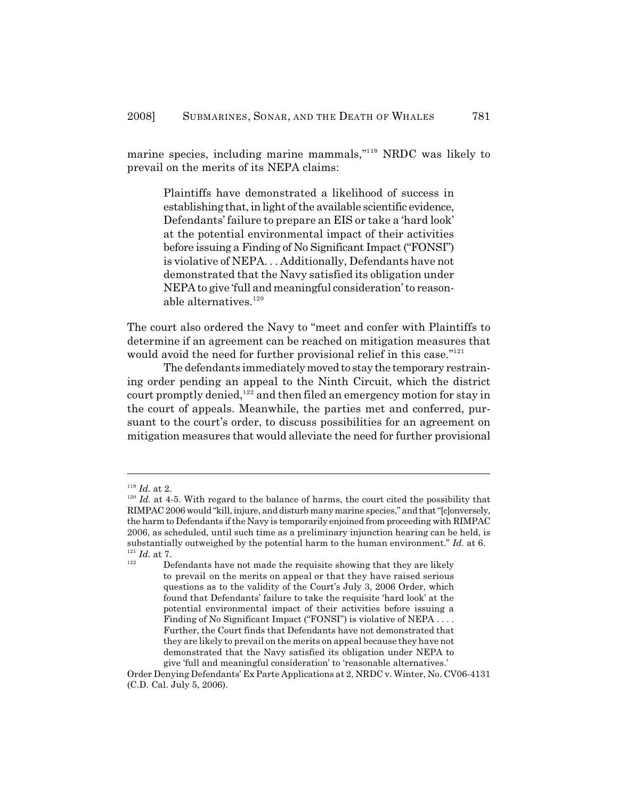marine species, including marine mammals,"<sup>119</sup> NRDC was likely to prevail on the merits of its NEPA claims:

Plaintiffs have demonstrated a likelihood of success in establishing that, in light of the available scientific evidence, Defendants' failure to prepare an EIS or take a 'hard look' at the potential environmental impact of their activities before issuing a Finding of No Significant Impact ("FONSI") is violative of NEPA. . . Additionally, Defendants have not demonstrated that the Navy satisfied its obligation under NEPA to give 'full and meaningful consideration' to reasonable alternatives. 120

The court also ordered the Navy to "meet and confer with Plaintiffs to determine if an agreement can be reached on mitigation measures that would avoid the need for further provisional relief in this case."<sup>121</sup>

The defendants immediately moved to stay the temporary restraining order pending an appeal to the Ninth Circuit, which the district court promptly denied,  $122$  and then filed an emergency motion for stay in the court of appeals. Meanwhile, the parties met and conferred, pursuant to the court's order, to discuss possibilities for an agreement on mitigation measures that would alleviate the need for further provisional

<sup>&</sup>lt;sup>119</sup> Id. at 2.

 $I<sup>20</sup>$  *Id.* at 4-5. With regard to the balance of harms, the court cited the possibility that RIMPAC 2006 would "kill, injure, and disturb many marine species," and that "[c]onversely, the harm to Defendants if the Navy is temporarily enjoined from proceeding with RIMPAC 2006, as scheduled, until such time as a preliminary injunction hearing can be held, is substantially outweighed by the potential harm to the human environment." *Id.* at 6.  $^{121}$  *Id.* at 7. 122

to prevail on the merits on appeal or that they have raised serious Defendants have not made the requisite showing that they are likely questions as to the validity of the Court's July 3, 2006 Order, which found that Defendants' failure to take the requisite 'hard look' at the potential environmental impact of their activities before issuing a Finding of No Significant Impact ("FONSI") is violative of NEPA . . . . Further, the Court finds that Defendants have not demonstrated that they are likely to prevail on the merits on appeal because they have not demonstrated that the Navy satisfied its obligation under NEPA to give 'full and meaningful consideration' to 'reasonable alternatives.'

Order Denying Defendants' Ex Parte Applications at 2, NRDC v. Winter, No. CV06-4131 (C.D. Cal. July 5, 2006).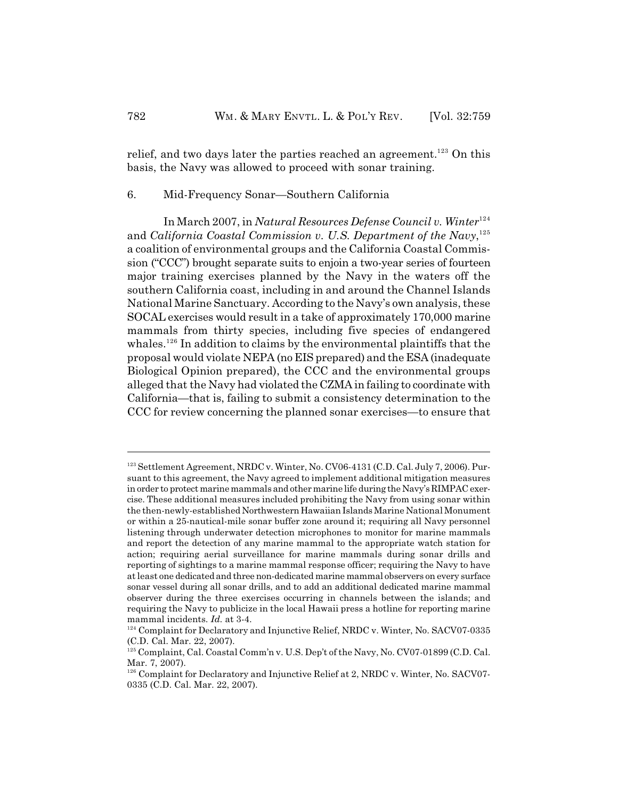relief, and two days later the parties reached an agreement.<sup>123</sup> On this basis, the Navy was allowed to proceed with sonar training.

## 6. Mid-Frequency Sonar—Southern California

In March 2007, in *Natural Resources Defense Council v. Winter*<sup>124</sup> and *California Coastal Commission v. U.S. Department of the Navy*,<sup>125</sup> a coalition of environmental groups and the California Coastal Commission ("CCC") brought separate suits to enjoin a two-year series of fourteen major training exercises planned by the Navy in the waters off the southern California coast, including in and around the Channel Islands National Marine Sanctuary. According to the Navy's own analysis, these SOCAL exercises would result in a take of approximately 170,000 marine mammals from thirty species, including five species of endangered whales.<sup>126</sup> In addition to claims by the environmental plaintiffs that the proposal would violate NEPA (no EIS prepared) and the ESA (inadequate Biological Opinion prepared), the CCC and the environmental groups alleged that the Navy had violated the CZMA in failing to coordinate with California—that is, failing to submit a consistency determination to the CCC for review concerning the planned sonar exercises—to ensure that

<sup>&</sup>lt;sup>123</sup> Settlement Agreement, NRDC v. Winter, No. CV06-4131 (C.D. Cal. July 7, 2006). Pursuant to this agreement, the Navy agreed to implement additional mitigation measures in order to protect marine mammals and other marine life during the Navy's RIMPAC exercise. These additional measures included prohibiting the Navy from using sonar within the then-newly-established Northwestern Hawaiian Islands Marine National Monument or within a 25-nautical-mile sonar buffer zone around it; requiring all Navy personnel listening through underwater detection microphones to monitor for marine mammals and report the detection of any marine mammal to the appropriate watch station for action; requiring aerial surveillance for marine mammals during sonar drills and reporting of sightings to a marine mammal response officer; requiring the Navy to have at least one dedicated and three non-dedicated marine mammal observers on every surface sonar vessel during all sonar drills, and to add an additional dedicated marine mammal observer during the three exercises occurring in channels between the islands; and requiring the Navy to publicize in the local Hawaii press a hotline for reporting marine mammal incidents. *Id.* at 3-4.

<sup>&</sup>lt;sup>124</sup> Complaint for Declaratory and Injunctive Relief, NRDC v. Winter, No. SACV07-0335 (C.D. Cal. Mar. 22, 2007).

<sup>&</sup>lt;sup>125</sup> Complaint, Cal. Coastal Comm'n v. U.S. Dep't of the Navy, No. CV07-01899 (C.D. Cal. Mar. 7, 2007).

 $^{126}$  Complaint for Declaratory and Injunctive Relief at 2, NRDC v. Winter, No. SACV07-0335 (C.D. Cal. Mar. 22, 2007).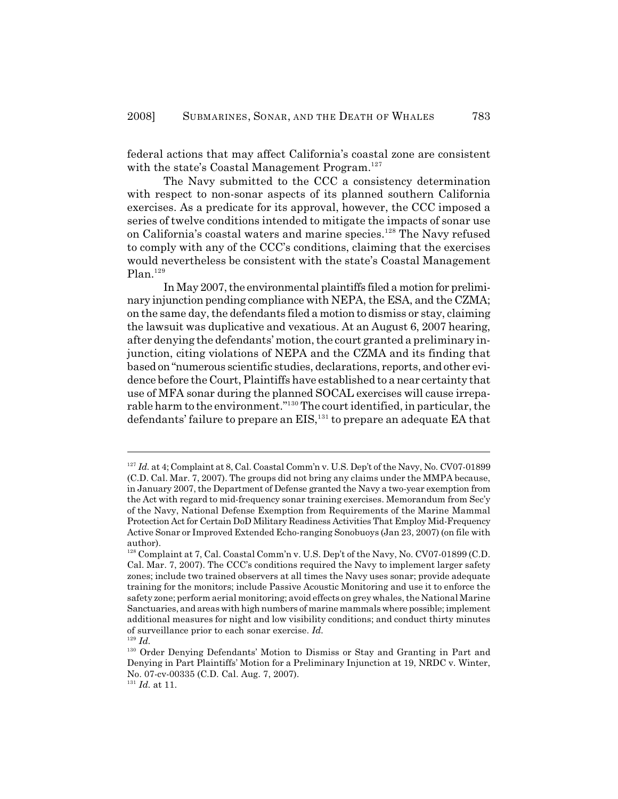federal actions that may affect California's coastal zone are consistent with the state's Coastal Management Program.<sup>127</sup>

The Navy submitted to the CCC a consistency determination with respect to non-sonar aspects of its planned southern California exercises. As a predicate for its approval, however, the CCC imposed a series of twelve conditions intended to mitigate the impacts of sonar use on California's coastal waters and marine species.<sup>128</sup> The Navy refused to comply with any of the CCC's conditions, claiming that the exercises would nevertheless be consistent with the state's Coastal Management  $Plan.<sup>129</sup>$ 

In May 2007, the environmental plaintiffs filed a motion for preliminary injunction pending compliance with NEPA, the ESA, and the CZMA; on the same day, the defendants filed a motion to dismiss or stay, claiming the lawsuit was duplicative and vexatious. At an August 6, 2007 hearing, after denying the defendants' motion, the court granted a preliminary injunction, citing violations of NEPA and the CZMA and its finding that based on "numerous scientific studies, declarations, reports, and other evidence before the Court, Plaintiffs have established to a near certainty that use of MFA sonar during the planned SOCAL exercises will cause irreparable harm to the environment." $130$  The court identified, in particular, the defendants' failure to prepare an EIS, $^{131}$  to prepare an adequate EA that

<sup>&</sup>lt;sup>127</sup> Id. at 4; Complaint at 8, Cal. Coastal Comm'n v. U.S. Dep't of the Navy, No. CV07-01899 (C.D. Cal. Mar. 7, 2007). The groups did not bring any claims under the MMPA because, in January 2007, the Department of Defense granted the Navy a two-year exemption from the Act with regard to mid-frequency sonar training exercises. Memorandum from Sec'y of the Navy, National Defense Exemption from Requirements of the Marine Mammal Protection Act for Certain DoD Military Readiness Activities That Employ Mid-Frequency Active Sonar or Improved Extended Echo-ranging Sonobuoys (Jan 23, 2007) (on file with author).

<sup>&</sup>lt;sup>128</sup> Complaint at 7, Cal. Coastal Comm'n v. U.S. Dep't of the Navy, No. CV07-01899 (C.D. Cal. Mar. 7, 2007). The CCC's conditions required the Navy to implement larger safety zones; include two trained observers at all times the Navy uses sonar; provide adequate training for the monitors; include Passive Acoustic Monitoring and use it to enforce the safety zone; perform aerial monitoring; avoid effects on grey whales, the National Marine Sanctuaries, and areas with high numbers of marine mammals where possible; implement additional measures for night and low visibility conditions; and conduct thirty minutes of surveillance prior to each sonar exercise. *Id.*

 $^{129}$  *Id.* 

<sup>&</sup>lt;sup>130</sup> Order Denying Defendants' Motion to Dismiss or Stay and Granting in Part and Denying in Part Plaintiffs' Motion for a Preliminary Injunction at 19, NRDC v. Winter, No. 07-cv-00335 (C.D. Cal. Aug. 7, 2007).

 $^{131}$  *Id.* at 11.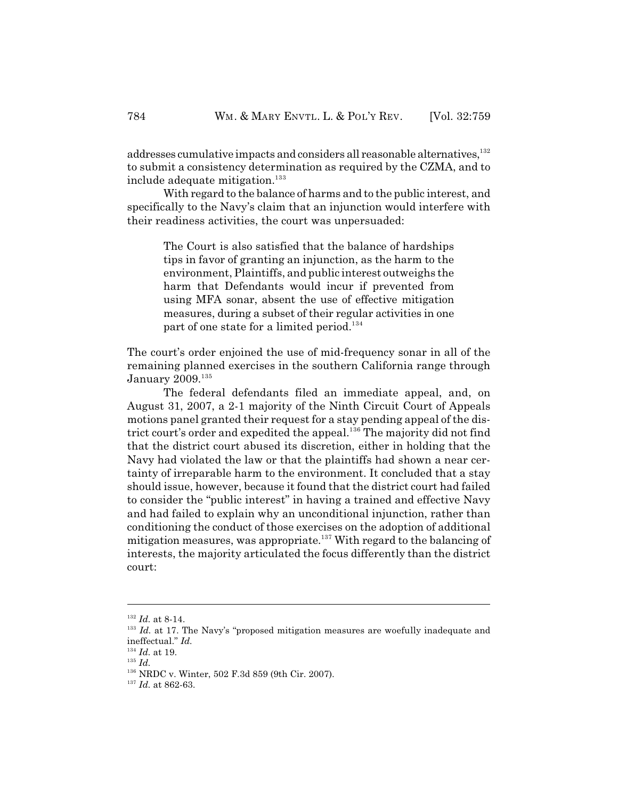addresses cumulative impacts and considers all reasonable alternatives, 132 to submit a consistency determination as required by the CZMA, and to include adequate mitigation.<sup>133</sup>

With regard to the balance of harms and to the public interest, and specifically to the Navy's claim that an injunction would interfere with their readiness activities, the court was unpersuaded:

The Court is also satisfied that the balance of hardships tips in favor of granting an injunction, as the harm to the environment, Plaintiffs, and public interest outweighs the harm that Defendants would incur if prevented from using MFA sonar, absent the use of effective mitigation measures, during a subset of their regular activities in one part of one state for a limited period.<sup>134</sup>

The court's order enjoined the use of mid-frequency sonar in all of the remaining planned exercises in the southern California range through January 2009.<sup>135</sup>

The federal defendants filed an immediate appeal, and, on August 31, 2007, a 2-1 majority of the Ninth Circuit Court of Appeals motions panel granted their request for a stay pending appeal of the district court's order and expedited the appeal.<sup>136</sup> The majority did not find that the district court abused its discretion, either in holding that the Navy had violated the law or that the plaintiffs had shown a near certainty of irreparable harm to the environment. It concluded that a stay should issue, however, because it found that the district court had failed to consider the "public interest" in having a trained and effective Navy and had failed to explain why an unconditional injunction, rather than conditioning the conduct of those exercises on the adoption of additional mitigation measures, was appropriate.<sup>137</sup> With regard to the balancing of interests, the majority articulated the focus differently than the district court:

 $I^{32}$  *Id.* at 8-14.

<sup>&</sup>lt;sup>133</sup> Id. at 17. The Navy's "proposed mitigation measures are woefully inadequate and ineffectual." *Id.*

 $^{134}$   $\emph{Id.}$  at 19.

 $^{135}$   $\emph{Id}.$ 

<sup>&</sup>lt;sup>136</sup> NRDC v. Winter, 502 F.3d 859 (9th Cir. 2007).

<sup>&</sup>lt;sup>137</sup> Id. at 862-63.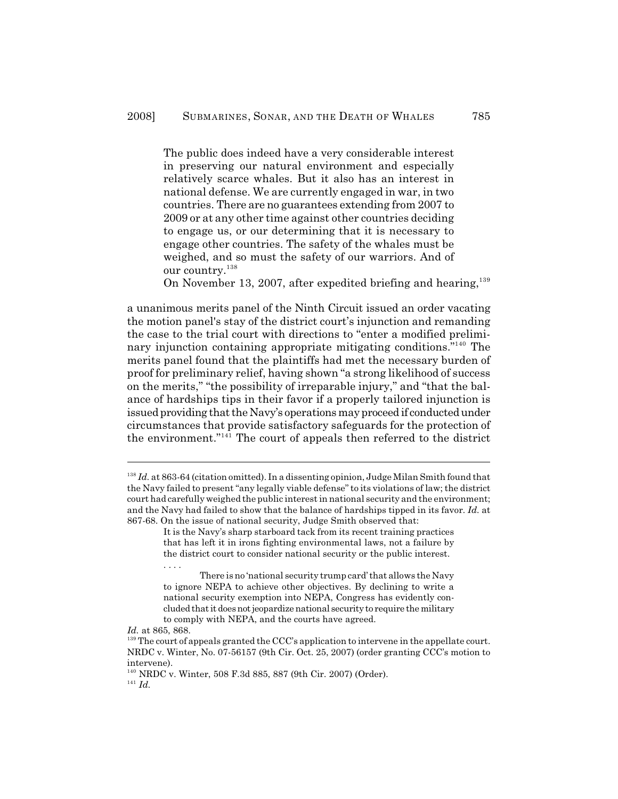The public does indeed have a very considerable interest in preserving our natural environment and especially relatively scarce whales. But it also has an interest in national defense. We are currently engaged in war, in two countries. There are no guarantees extending from 2007 to 2009 or at any other time against other countries deciding to engage us, or our determining that it is necessary to engage other countries. The safety of the whales must be weighed, and so must the safety of our warriors. And of our country.<sup>138</sup>

On November 13, 2007, after expedited briefing and hearing, $139$ 

a unanimous merits panel of the Ninth Circuit issued an order vacating the motion panel's stay of the district court's injunction and remanding the case to the trial court with directions to "enter a modified preliminary injunction containing appropriate mitigating conditions."<sup>140</sup> The merits panel found that the plaintiffs had met the necessary burden of proof for preliminary relief, having shown "a strong likelihood of success on the merits," "the possibility of irreparable injury," and "that the balance of hardships tips in their favor if a properly tailored injunction is issued providing that the Navy's operations may proceed if conducted under circumstances that provide satisfactory safeguards for the protection of the environment."<sup>141</sup> The court of appeals then referred to the district

<sup>&</sup>lt;sup>138</sup> *Id.* at 863-64 (citation omitted). In a dissenting opinion, Judge Milan Smith found that the Navy failed to present "any legally viable defense" to its violations of law; the district court had carefully weighed the public interest in national security and the environment; and the Navy had failed to show that the balance of hardships tipped in its favor. *Id.* at 867-68. On the issue of national security, Judge Smith observed that:

It is the Navy's sharp starboard tack from its recent training practices that has left it in irons fighting environmental laws, not a failure by the district court to consider national security or the public interest. . . . .

There is no 'national security trump card' that allows the Navy to ignore NEPA to achieve other objectives. By declining to write a national security exemption into NEPA, Congress has evidently concluded that it does not jeopardize national security to require the military to comply with NEPA, and the courts have agreed.

*Id.* at 865, 868.

 $139$  The court of appeals granted the CCC's application to intervene in the appellate court. NRDC v. Winter, No. 07-56157 (9th Cir. Oct. 25, 2007) (order granting CCC's motion to intervene).

NRDC v. Winter, 508 F.3d 885, 887 (9th Cir. 2007) (Order). 140  $^{141}$  *Id.*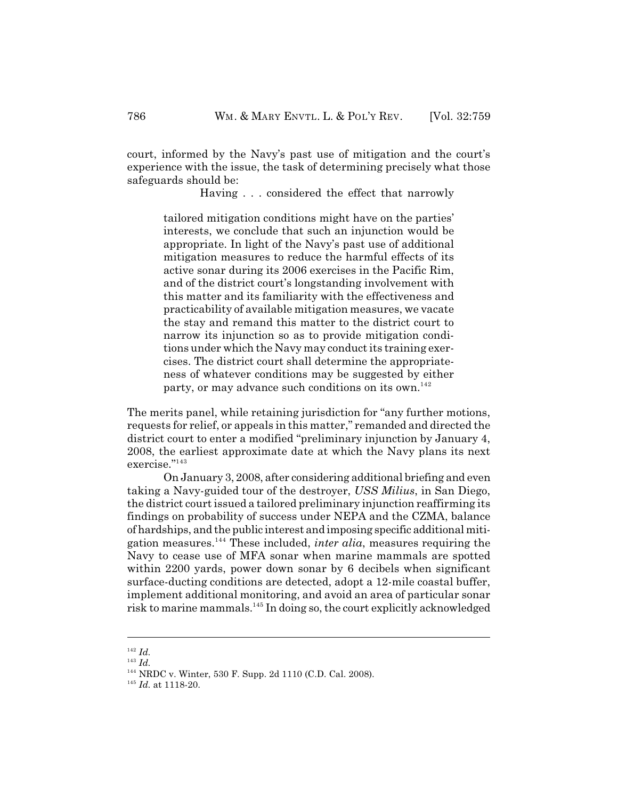court, informed by the Navy's past use of mitigation and the court's experience with the issue, the task of determining precisely what those safeguards should be:

Having . . . considered the effect that narrowly

tailored mitigation conditions might have on the parties' interests, we conclude that such an injunction would be appropriate. In light of the Navy's past use of additional mitigation measures to reduce the harmful effects of its active sonar during its 2006 exercises in the Pacific Rim, and of the district court's longstanding involvement with this matter and its familiarity with the effectiveness and practicability of available mitigation measures, we vacate the stay and remand this matter to the district court to narrow its injunction so as to provide mitigation conditions under which the Navy may conduct its training exercises. The district court shall determine the appropriateness of whatever conditions may be suggested by either party, or may advance such conditions on its own.<sup>142</sup>

The merits panel, while retaining jurisdiction for "any further motions, requests for relief, or appeals in this matter," remanded and directed the district court to enter a modified "preliminary injunction by January 4, 2008, the earliest approximate date at which the Navy plans its next exercise."<sup>143</sup>

On January 3, 2008, after considering additional briefing and even taking a Navy-guided tour of the destroyer, *USS Milius*, in San Diego, the district court issued a tailored preliminary injunction reaffirming its findings on probability of success under NEPA and the CZMA, balance of hardships, and the public interest and imposing specific additional mitigation measures.<sup>144</sup> These included, *inter alia*, measures requiring the Navy to cease use of MFA sonar when marine mammals are spotted within 2200 yards, power down sonar by 6 decibels when significant surface-ducting conditions are detected, adopt a 12-mile coastal buffer, implement additional monitoring, and avoid an area of particular sonar risk to marine mammals.<sup>145</sup> In doing so, the court explicitly acknowledged

 $142$  *Id.* 

 $^{143}$  *Id.* 

<sup>&</sup>lt;sup>144</sup> NRDC v. Winter, 530 F. Supp. 2d 1110 (C.D. Cal. 2008).

<sup>&</sup>lt;sup>145</sup> *Id.* at 1118-20.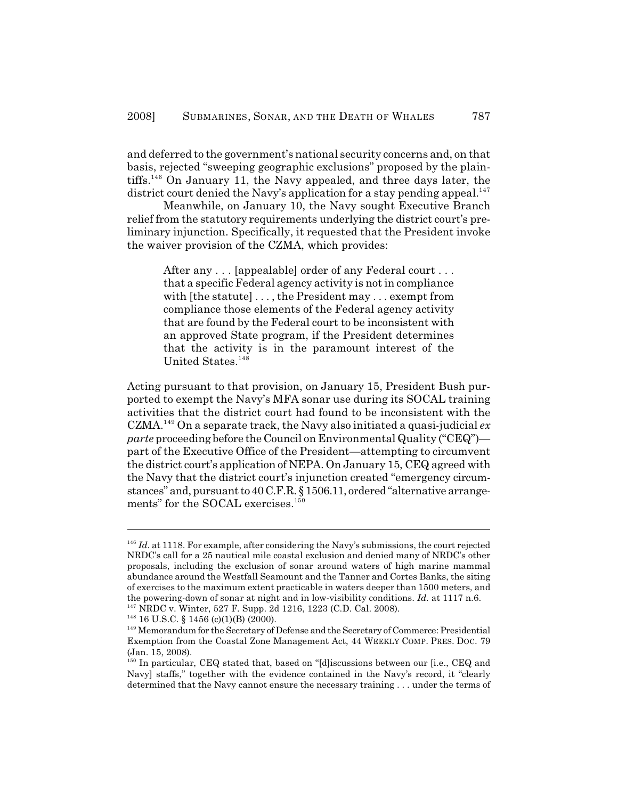and deferred to the government's national security concerns and, on that basis, rejected "sweeping geographic exclusions" proposed by the plaintiffs.<sup>146</sup> On January 11, the Navy appealed, and three days later, the district court denied the Navy's application for a stay pending appeal.<sup>147</sup>

Meanwhile, on January 10, the Navy sought Executive Branch relief from the statutory requirements underlying the district court's preliminary injunction. Specifically, it requested that the President invoke the waiver provision of the CZMA, which provides:

After any . . . [appealable] order of any Federal court . . . that a specific Federal agency activity is not in compliance with [the statute] ..., the President may ... exempt from compliance those elements of the Federal agency activity that are found by the Federal court to be inconsistent with an approved State program, if the President determines that the activity is in the paramount interest of the United States.<sup>148</sup>

Acting pursuant to that provision, on January 15, President Bush purported to exempt the Navy's MFA sonar use during its SOCAL training activities that the district court had found to be inconsistent with the  $CZMA<sup>149</sup>$  On a separate track, the Navy also initiated a quasi-judicial  $ex$ *parte* proceeding before the Council on Environmental Quality ("CEQ") part of the Executive Office of the President—attempting to circumvent the district court's application of NEPA. On January 15, CEQ agreed with the Navy that the district court's injunction created "emergency circumstances" and, pursuant to 40 C.F.R. § 1506.11, ordered "alternative arrangements" for the SOCAL exercises.<sup>150</sup>

 $I<sup>146</sup>$  *Id.* at 1118. For example, after considering the Navy's submissions, the court rejected NRDC's call for a 25 nautical mile coastal exclusion and denied many of NRDC's other proposals, including the exclusion of sonar around waters of high marine mammal abundance around the Westfall Seamount and the Tanner and Cortes Banks, the siting of exercises to the maximum extent practicable in waters deeper than 1500 meters, and the powering-down of sonar at night and in low-visibility conditions. *Id.* at 1117 n.6.

<sup>&</sup>lt;sup>147</sup> NRDC v. Winter, 527 F. Supp. 2d 1216, 1223 (C.D. Cal. 2008).

 $148$  16 U.S.C. § 1456 (c)(1)(B) (2000).

<sup>&</sup>lt;sup>149</sup> Memorandum for the Secretary of Defense and the Secretary of Commerce: Presidential Exemption from the Coastal Zone Management Act, 44 WEEKLY COMP. PRES. DOC. 79 (Jan. 15, 2008).

<sup>&</sup>lt;sup>150</sup> In particular, CEQ stated that, based on "[d]iscussions between our [i.e., CEQ and Navyl staffs," together with the evidence contained in the Navy's record, it "clearly" determined that the Navy cannot ensure the necessary training . . . under the terms of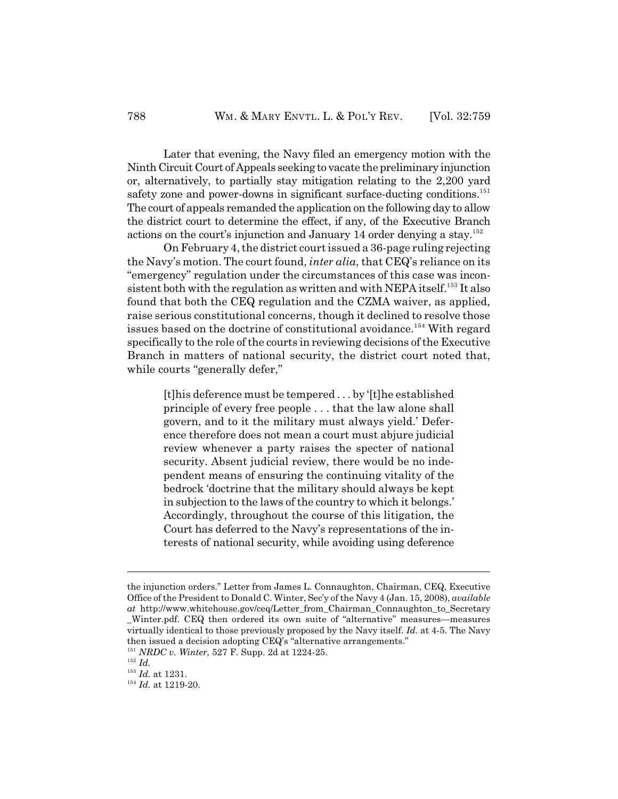Later that evening, the Navy filed an emergency motion with the Ninth Circuit Court of Appeals seeking to vacate the preliminary injunction or, alternatively, to partially stay mitigation relating to the 2,200 yard safety zone and power-downs in significant surface-ducting conditions.<sup>151</sup> The court of appeals remanded the application on the following day to allow the district court to determine the effect, if any, of the Executive Branch actions on the court's injunction and January 14 order denying a stay.<sup>152</sup>

On February 4, the district court issued a 36-page ruling rejecting the Navy's motion. The court found, *inter alia*, that CEQ's reliance on its "emergency" regulation under the circumstances of this case was inconsistent both with the regulation as written and with NEPA itself.<sup>153</sup> It also found that both the CEQ regulation and the CZMA waiver, as applied, raise serious constitutional concerns, though it declined to resolve those issues based on the doctrine of constitutional avoidance.<sup>154</sup> With regard specifically to the role of the courts in reviewing decisions of the Executive Branch in matters of national security, the district court noted that, while courts "generally defer,"

[t]his deference must be tempered . . . by '[t]he established principle of every free people . . . that the law alone shall govern, and to it the military must always yield.' Deference therefore does not mean a court must abjure judicial review whenever a party raises the specter of national security. Absent judicial review, there would be no independent means of ensuring the continuing vitality of the bedrock 'doctrine that the military should always be kept in subjection to the laws of the country to which it belongs.' Accordingly, throughout the course of this litigation, the Court has deferred to the Navy's representations of the interests of national security, while avoiding using deference

the injunction orders." Letter from James L. Connaughton, Chairman, CEQ, Executive Office of the President to Donald C. Winter, Sec'y of the Navy 4 (Jan. 15, 2008), *available at* http://www.whitehouse.gov/ceq/Letter\_from\_Chairman\_Connaughton\_to\_Secretary \_Winter.pdf. CEQ then ordered its own suite of "alternative" measures—measures virtually identical to those previously proposed by the Navy itself. *Id.* at 4-5. The Navy then issued a decision adopting CEQ's "alternative arrangements."

<sup>&</sup>lt;sup>151</sup> NRDC v. Winter, 527 F. Supp. 2d at 1224-25.

 $^{152}$  *Id.* 

 $^{153}$  *Id.* at 1231.

<sup>&</sup>lt;sup>154</sup> Id. at 1219-20.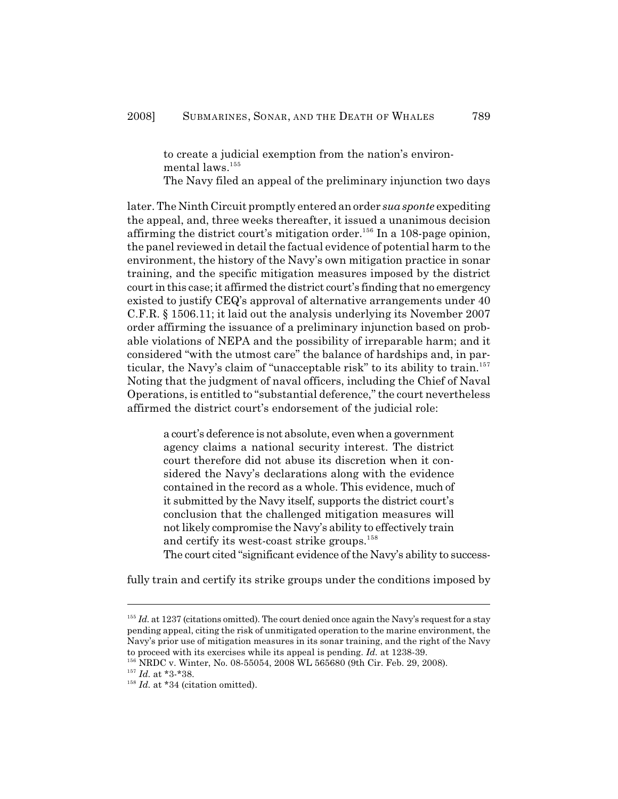to create a judicial exemption from the nation's environmental laws.<sup>155</sup>

The Navy filed an appeal of the preliminary injunction two days

later. The Ninth Circuit promptly entered an order *sua sponte* expediting the appeal, and, three weeks thereafter, it issued a unanimous decision affirming the district court's mitigation order.<sup>156</sup> In a 108-page opinion, the panel reviewed in detail the factual evidence of potential harm to the environment, the history of the Navy's own mitigation practice in sonar training, and the specific mitigation measures imposed by the district court in this case; it affirmed the district court's finding that no emergency existed to justify CEQ's approval of alternative arrangements under 40 C.F.R. § 1506.11; it laid out the analysis underlying its November 2007 order affirming the issuance of a preliminary injunction based on probable violations of NEPA and the possibility of irreparable harm; and it considered "with the utmost care" the balance of hardships and, in particular, the Navy's claim of "unacceptable risk" to its ability to train.<sup>157</sup> Noting that the judgment of naval officers, including the Chief of Naval Operations, is entitled to "substantial deference," the court nevertheless affirmed the district court's endorsement of the judicial role:

a court's deference is not absolute, even when a government agency claims a national security interest. The district court therefore did not abuse its discretion when it considered the Navy's declarations along with the evidence contained in the record as a whole. This evidence, much of it submitted by the Navy itself, supports the district court's conclusion that the challenged mitigation measures will not likely compromise the Navy's ability to effectively train and certify its west-coast strike groups. 158 The court cited "significant evidence of the Navy's ability to success-

fully train and certify its strike groups under the conditions imposed by

 $155$  *Id.* at 1237 (citations omitted). The court denied once again the Navy's request for a stay pending appeal, citing the risk of unmitigated operation to the marine environment, the Navy's prior use of mitigation measures in its sonar training, and the right of the Navy to proceed with its exercises while its appeal is pending. *Id.* at 1238-39.

NRDC v. Winter, No. 08-55054, 2008 WL 565680 (9th Cir. Feb. 29, 2008). 156

<sup>&</sup>lt;sup>157</sup> Id. at \*3-\*38.

 $I<sup>158</sup>$  *Id.* at \*34 (citation omitted).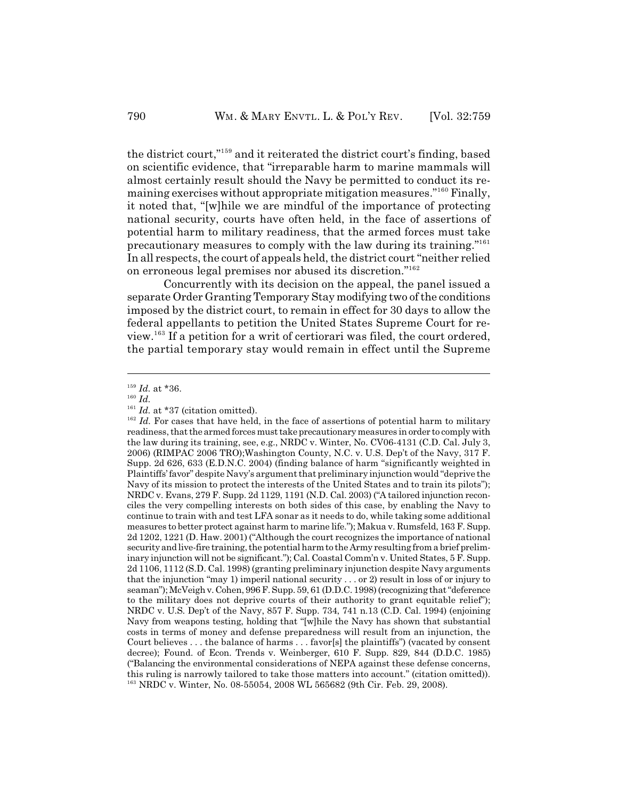the district court,"<sup>159</sup> and it reiterated the district court's finding, based on scientific evidence, that "irreparable harm to marine mammals will almost certainly result should the Navy be permitted to conduct its remaining exercises without appropriate mitigation measures."<sup>160</sup> Finally, it noted that, "[w]hile we are mindful of the importance of protecting national security, courts have often held, in the face of assertions of potential harm to military readiness, that the armed forces must take precautionary measures to comply with the law during its training."<sup>161</sup> In all respects, the court of appeals held, the district court "neither relied on erroneous legal premises nor abused its discretion."<sup>162</sup>

Concurrently with its decision on the appeal, the panel issued a separate Order Granting Temporary Stay modifying two of the conditions imposed by the district court, to remain in effect for 30 days to allow the federal appellants to petition the United States Supreme Court for re $view<sup>163</sup>$  If a petition for a writ of certiorari was filed, the court ordered, the partial temporary stay would remain in effect until the Supreme

 $^{159}$  *Id.* at \*36.

 $^{160}$  *Id.* 

 $I<sup>161</sup>$  *Id.* at \*37 (citation omitted).

 $162$  *Id.* For cases that have held, in the face of assertions of potential harm to military readiness, that the armed forces must take precautionary measures in order to comply with the law during its training, see, e.g., NRDC v. Winter, No. CV06-4131 (C.D. Cal. July 3, 2006) (RIMPAC 2006 TRO);Washington County, N.C. v. U.S. Dep't of the Navy, 317 F. Supp. 2d 626, 633 (E.D.N.C. 2004) (finding balance of harm "significantly weighted in Plaintiffs' favor" despite Navy's argument that preliminary injunction would "deprive the Navy of its mission to protect the interests of the United States and to train its pilots"); NRDC v. Evans, 279 F. Supp. 2d 1129, 1191 (N.D. Cal. 2003) ("A tailored injunction reconciles the very compelling interests on both sides of this case, by enabling the Navy to continue to train with and test LFA sonar as it needs to do, while taking some additional measures to better protect against harm to marine life."); Makua v. Rumsfeld, 163 F. Supp. 2d 1202, 1221 (D. Haw. 2001) ("Although the court recognizes the importance of national security and live-fire training, the potential harm to the Army resulting from a brief preliminary injunction will not be significant."); Cal. Coastal Comm'n v. United States, 5 F. Supp. 2d 1106, 1112 (S.D. Cal. 1998) (granting preliminary injunction despite Navy arguments that the injunction "may 1) imperil national security . . . or 2) result in loss of or injury to seaman"); McVeigh v. Cohen, 996 F. Supp. 59, 61 (D.D.C. 1998) (recognizing that "deference to the military does not deprive courts of their authority to grant equitable relief"); NRDC v. U.S. Dep't of the Navy, 857 F. Supp. 734, 741 n.13 (C.D. Cal. 1994) (enjoining Navy from weapons testing, holding that "[w]hile the Navy has shown that substantial costs in terms of money and defense preparedness will result from an injunction, the Court believes . . . the balance of harms . . . favor[s] the plaintiffs") (vacated by consent decree); Found. of Econ. Trends v. Weinberger, 610 F. Supp. 829, 844 (D.D.C. 1985) ("Balancing the environmental considerations of NEPA against these defense concerns, this ruling is narrowly tailored to take those matters into account." (citation omitted)). <sup>163</sup> NRDC v. Winter, No. 08-55054, 2008 WL 565682 (9th Cir. Feb. 29, 2008).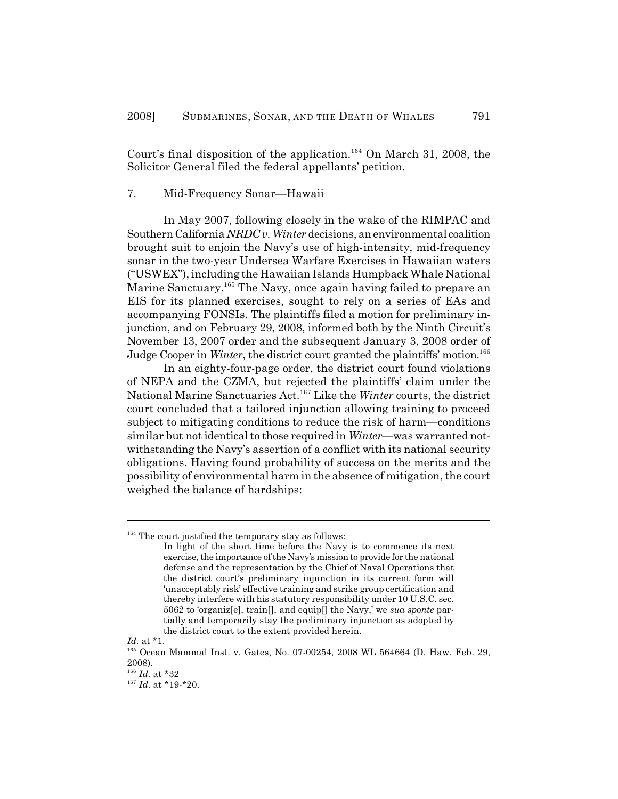Court's final disposition of the application.<sup>164</sup> On March 31, 2008, the Solicitor General filed the federal appellants' petition.

#### 7. Mid-Frequency Sonar—Hawaii

In May 2007, following closely in the wake of the RIMPAC and Southern California *NRDC v. Winter* decisions, an environmental coalition brought suit to enjoin the Navy's use of high-intensity, mid-frequency sonar in the two-year Undersea Warfare Exercises in Hawaiian waters ("USWEX"), including the Hawaiian Islands Humpback Whale National Marine Sanctuary.<sup>165</sup> The Navy, once again having failed to prepare an EIS for its planned exercises, sought to rely on a series of EAs and accompanying FONSIs. The plaintiffs filed a motion for preliminary injunction, and on February 29, 2008, informed both by the Ninth Circuit's November 13, 2007 order and the subsequent January 3, 2008 order of Judge Cooper in *Winter*, the district court granted the plaintiffs' motion. 166

In an eighty-four-page order, the district court found violations of NEPA and the CZMA, but rejected the plaintiffs' claim under the National Marine Sanctuaries Act.<sup>167</sup> Like the Winter courts, the district court concluded that a tailored injunction allowing training to proceed subject to mitigating conditions to reduce the risk of harm—conditions similar but not identical to those required in *Winter*—was warranted notwithstanding the Navy's assertion of a conflict with its national security obligations. Having found probability of success on the merits and the possibility of environmental harm in the absence of mitigation, the court weighed the balance of hardships:

 $164$  The court justified the temporary stay as follows:

In light of the short time before the Navy is to commence its next exercise, the importance of the Navy's mission to provide for the national defense and the representation by the Chief of Naval Operations that the district court's preliminary injunction in its current form will 'unacceptably risk' effective training and strike group certification and thereby interfere with his statutory responsibility under 10 U.S.C. sec. 5062 to 'organiz[e], train[], and equip[] the Navy,' we *sua sponte* partially and temporarily stay the preliminary injunction as adopted by the district court to the extent provided herein.

*Id.* at \*1.

<sup>&</sup>lt;sup>165</sup> Ocean Mammal Inst. v. Gates, No. 07-00254, 2008 WL 564664 (D. Haw. Feb. 29, 2008).

 $^{166}$  *Id.* at \*32

 $^{167}$  *Id.* at \*19-\*20.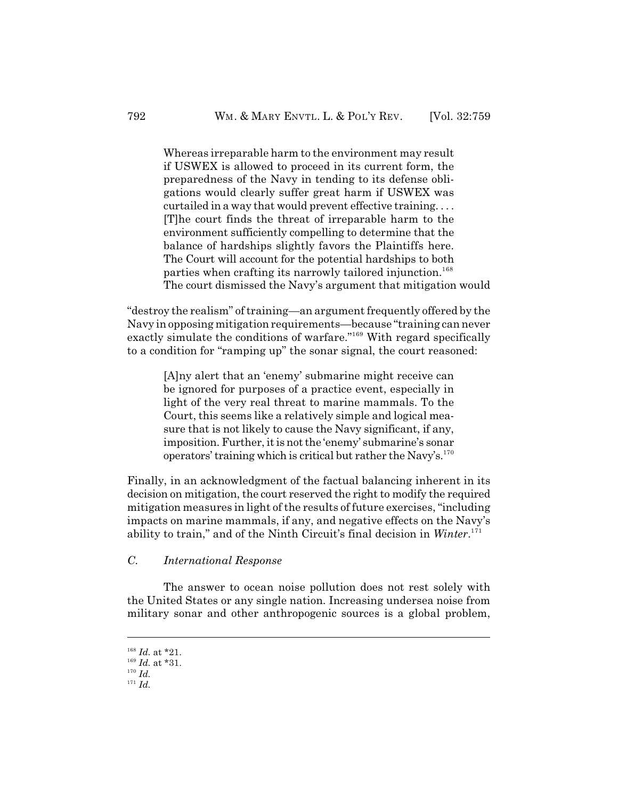Whereas irreparable harm to the environment may result if USWEX is allowed to proceed in its current form, the preparedness of the Navy in tending to its defense obligations would clearly suffer great harm if USWEX was curtailed in a way that would prevent effective training. . . . [T]he court finds the threat of irreparable harm to the environment sufficiently compelling to determine that the balance of hardships slightly favors the Plaintiffs here. The Court will account for the potential hardships to both parties when crafting its narrowly tailored injunction. 168 The court dismissed the Navy's argument that mitigation would

"destroy the realism" of training—an argument frequently offered by the Navy in opposing mitigation requirements—because "training can never exactly simulate the conditions of warfare."<sup>169</sup> With regard specifically to a condition for "ramping up" the sonar signal, the court reasoned:

[A]ny alert that an 'enemy' submarine might receive can be ignored for purposes of a practice event, especially in light of the very real threat to marine mammals. To the Court, this seems like a relatively simple and logical measure that is not likely to cause the Navy significant, if any, imposition. Further, it is not the 'enemy' submarine's sonar operators' training which is critical but rather the Navy's.<sup>170</sup>

Finally, in an acknowledgment of the factual balancing inherent in its decision on mitigation, the court reserved the right to modify the required mitigation measures in light of the results of future exercises, "including impacts on marine mammals, if any, and negative effects on the Navy's ability to train," and of the Ninth Circuit's final decision in *Winter*. 171

# *C. International Response*

The answer to ocean noise pollution does not rest solely with the United States or any single nation. Increasing undersea noise from military sonar and other anthropogenic sources is a global problem,

 $^{168}$  *Id.* at \*21.

 $^{169}$  *Id.* at \*31.

 $^{170}$  *Id.* 

 $^{171}$  *Id.*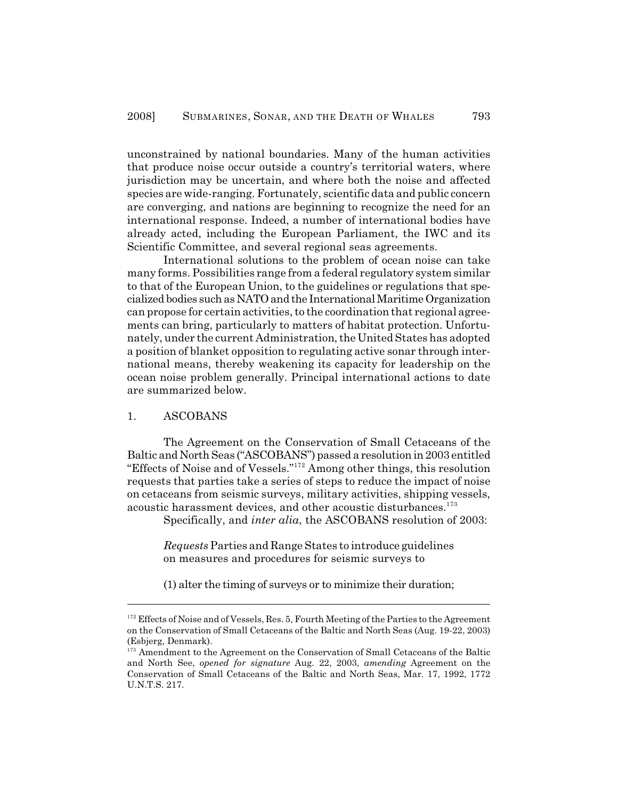unconstrained by national boundaries. Many of the human activities that produce noise occur outside a country's territorial waters, where jurisdiction may be uncertain, and where both the noise and affected species are wide-ranging. Fortunately, scientific data and public concern are converging, and nations are beginning to recognize the need for an international response. Indeed, a number of international bodies have already acted, including the European Parliament, the IWC and its Scientific Committee, and several regional seas agreements.

International solutions to the problem of ocean noise can take many forms. Possibilities range from a federal regulatory system similar to that of the European Union, to the guidelines or regulations that specialized bodies such as NATO and the International Maritime Organization can propose for certain activities, to the coordination that regional agreements can bring, particularly to matters of habitat protection. Unfortunately, under the current Administration, the United States has adopted a position of blanket opposition to regulating active sonar through international means, thereby weakening its capacity for leadership on the ocean noise problem generally. Principal international actions to date are summarized below.

# 1. ASCOBANS

The Agreement on the Conservation of Small Cetaceans of the Baltic and North Seas ("ASCOBANS") passed a resolution in 2003 entitled "Effects of Noise and of Vessels."<sup>172</sup> Among other things, this resolution requests that parties take a series of steps to reduce the impact of noise on cetaceans from seismic surveys, military activities, shipping vessels, acoustic harassment devices, and other acoustic disturbances.<sup>173</sup>

Specifically, and *inter alia*, the ASCOBANS resolution of 2003:

*Requests* Parties and Range States to introduce guidelines on measures and procedures for seismic surveys to

(1) alter the timing of surveys or to minimize their duration;

 $172$  Effects of Noise and of Vessels, Res. 5, Fourth Meeting of the Parties to the Agreement on the Conservation of Small Cetaceans of the Baltic and North Seas (Aug. 19-22, 2003) (Esbjerg, Denmark).

<sup>&</sup>lt;sup>173</sup> Amendment to the Agreement on the Conservation of Small Cetaceans of the Baltic and North See, *opened for signature* Aug. 22, 2003, *amending* Agreement on the Conservation of Small Cetaceans of the Baltic and North Seas, Mar. 17, 1992, 1772 U.N.T.S. 217.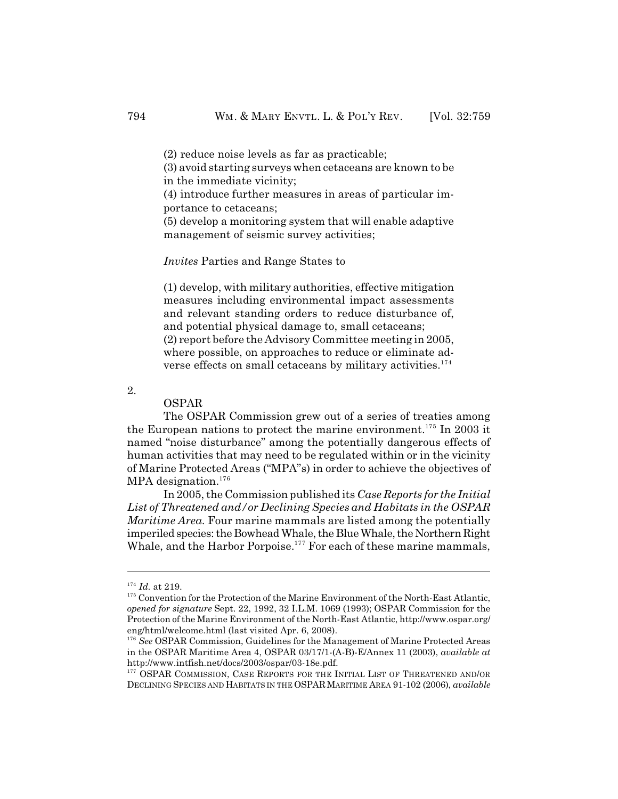(2) reduce noise levels as far as practicable;

(3) avoid starting surveys when cetaceans are known to be in the immediate vicinity;

(4) introduce further measures in areas of particular importance to cetaceans;

(5) develop a monitoring system that will enable adaptive management of seismic survey activities;

*Invites* Parties and Range States to

(1) develop, with military authorities, effective mitigation measures including environmental impact assessments and relevant standing orders to reduce disturbance of, and potential physical damage to, small cetaceans; (2) report before the Advisory Committee meeting in 2005, where possible, on approaches to reduce or eliminate adverse effects on small cetaceans by military activities.<sup>174</sup>

2.

#### OSPAR

The OSPAR Commission grew out of a series of treaties among the European nations to protect the marine environment.<sup>175</sup> In 2003 it named "noise disturbance" among the potentially dangerous effects of human activities that may need to be regulated within or in the vicinity of Marine Protected Areas ("MPA"s) in order to achieve the objectives of MPA designation.<sup>176</sup>

In 2005, the Commission published its *Case Reports for the Initial List of Threatened and/or Declining Species and Habitats in the OSPAR Maritime Area.* Four marine mammals are listed among the potentially imperiled species: the Bowhead Whale, the Blue Whale, the Northern Right Whale, and the Harbor Porpoise.<sup>177</sup> For each of these marine mammals,

<sup>&</sup>lt;sup>174</sup> Id. at 219.

<sup>&</sup>lt;sup>175</sup> Convention for the Protection of the Marine Environment of the North-East Atlantic, *opened for signature* Sept. 22, 1992, 32 I.L.M. 1069 (1993); OSPAR Commission for the Protection of the Marine Environment of the North-East Atlantic, http://www.ospar.org/ eng/html/welcome.html (last visited Apr. 6, 2008).

<sup>&</sup>lt;sup>176</sup> See OSPAR Commission, Guidelines for the Management of Marine Protected Areas in the OSPAR Maritime Area 4, OSPAR 03/17/1-(A-B)-E/Annex 11 (2003), *available at* http://www.intfish.net/docs/2003/ospar/03-18e.pdf.

<sup>&</sup>lt;sup>177</sup> OSPAR COMMISSION, CASE REPORTS FOR THE INITIAL LIST OF THREATENED AND/OR DECLINING SPECIES AND HABITATS IN THE OSPARMARITIME AREA 91-102 (2006), *available*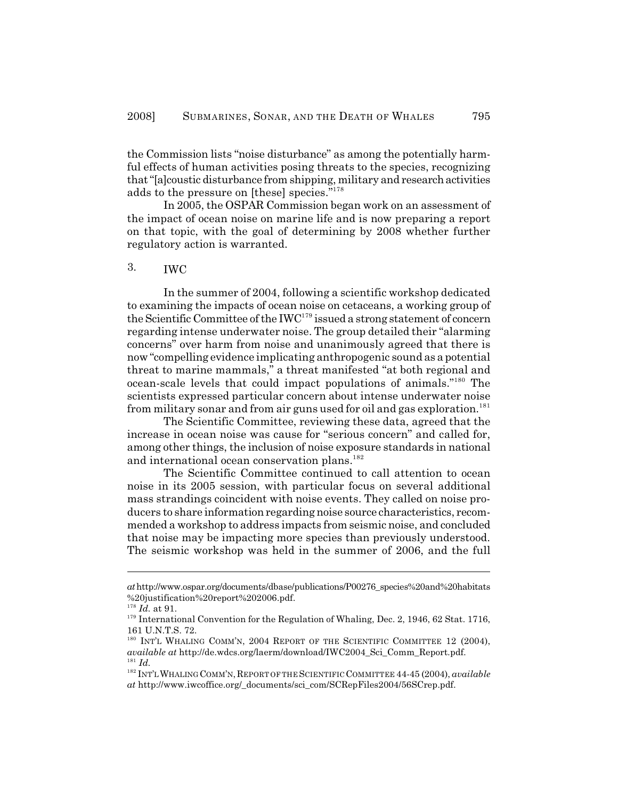the Commission lists "noise disturbance" as among the potentially harmful effects of human activities posing threats to the species, recognizing that "[a]coustic disturbance from shipping, military and research activities adds to the pressure on [these] species."<sup>178</sup>

In 2005, the OSPAR Commission began work on an assessment of the impact of ocean noise on marine life and is now preparing a report on that topic, with the goal of determining by 2008 whether further regulatory action is warranted.

# 3. IWC

In the summer of 2004, following a scientific workshop dedicated to examining the impacts of ocean noise on cetaceans, a working group of the Scientific Committee of the  $IWC^{179}$  issued a strong statement of concern regarding intense underwater noise. The group detailed their "alarming concerns" over harm from noise and unanimously agreed that there is now "compelling evidence implicating anthropogenic sound as a potential threat to marine mammals," a threat manifested "at both regional and ocean-scale levels that could impact populations of animals."<sup>180</sup> The scientists expressed particular concern about intense underwater noise from military sonar and from air guns used for oil and gas exploration. 181

The Scientific Committee, reviewing these data, agreed that the increase in ocean noise was cause for "serious concern" and called for, among other things, the inclusion of noise exposure standards in national and international ocean conservation plans.<sup>182</sup>

The Scientific Committee continued to call attention to ocean noise in its 2005 session, with particular focus on several additional mass strandings coincident with noise events. They called on noise producers to share information regarding noise source characteristics, recommended a workshop to address impacts from seismic noise, and concluded that noise may be impacting more species than previously understood. The seismic workshop was held in the summer of 2006, and the full

*at* http://www.ospar.org/documents/dbase/publications/P00276\_species%20and%20habitats %20justification%20report%202006.pdf.

<sup>&</sup>lt;sup>178</sup> *Id.* at 91.

<sup>&</sup>lt;sup>179</sup> International Convention for the Regulation of Whaling, Dec. 2, 1946, 62 Stat. 1716, 161 U.N.T.S. 72.

<sup>&</sup>lt;sup>180</sup> INT'L WHALING COMM'N, 2004 REPORT OF THE SCIENTIFIC COMMITTEE 12 (2004), *available at* http://de.wdcs.org/laerm/download/IWC2004\_Sci\_Comm\_Report.pdf.  $^{181}$   $\emph{Id}.$ 

<sup>&</sup>lt;sup>182</sup> INT'L WHALING COMM'N, REPORT OF THE SCIENTIFIC COMMITTEE 44-45 (2004), *available at* http://www.iwcoffice.org/\_documents/sci\_com/SCRepFiles2004/56SCrep.pdf.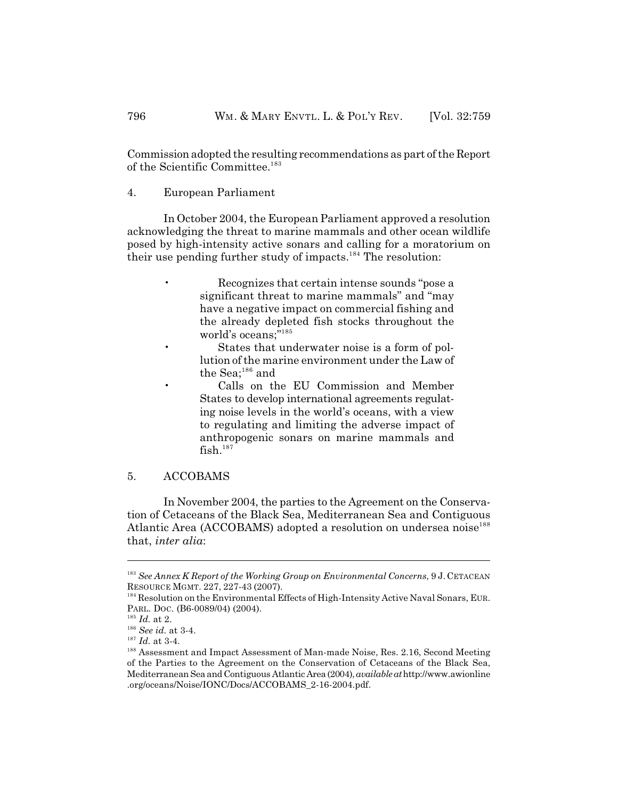Commission adopted the resulting recommendations as part of the Report of the Scientific Committee. 183

4. European Parliament

In October 2004, the European Parliament approved a resolution acknowledging the threat to marine mammals and other ocean wildlife posed by high-intensity active sonars and calling for a moratorium on their use pending further study of impacts.<sup>184</sup> The resolution:

- Recognizes that certain intense sounds "pose a significant threat to marine mammals" and "may have a negative impact on commercial fishing and the already depleted fish stocks throughout the world's oceans;"<sup>185</sup>
- States that underwater noise is a form of pollution of the marine environment under the Law of the Sea; $^{\rm 186}$  and
- Calls on the EU Commission and Member States to develop international agreements regulating noise levels in the world's oceans, with a view to regulating and limiting the adverse impact of anthropogenic sonars on marine mammals and fish.<sup>187</sup>

#### 5. ACCOBAMS

In November 2004, the parties to the Agreement on the Conservation of Cetaceans of the Black Sea, Mediterranean Sea and Contiguous Atlantic Area (ACCOBAMS) adopted a resolution on undersea noise<sup>188</sup> that, *inter alia*:

*See Annex K Report of the Working Group on Environmental Concerns*, 9 J. CETACEAN 183 RESOURCE MGMT. 227, 227-43 (2007).

<sup>&</sup>lt;sup>184</sup> Resolution on the Environmental Effects of High-Intensity Active Naval Sonars, EUR. PARL. DOC. (B6-0089/04) (2004).

<sup>&</sup>lt;sup>185</sup> Id. at 2.

 $186$  *See id.* at 3-4.

 $^{187}$  *Id.* at 3-4.

<sup>&</sup>lt;sup>188</sup> Assessment and Impact Assessment of Man-made Noise, Res. 2.16, Second Meeting of the Parties to the Agreement on the Conservation of Cetaceans of the Black Sea, Mediterranean Sea and Contiguous Atlantic Area (2004), *available at* http://www.awionline .org/oceans/Noise/IONC/Docs/ACCOBAMS\_2-16-2004.pdf.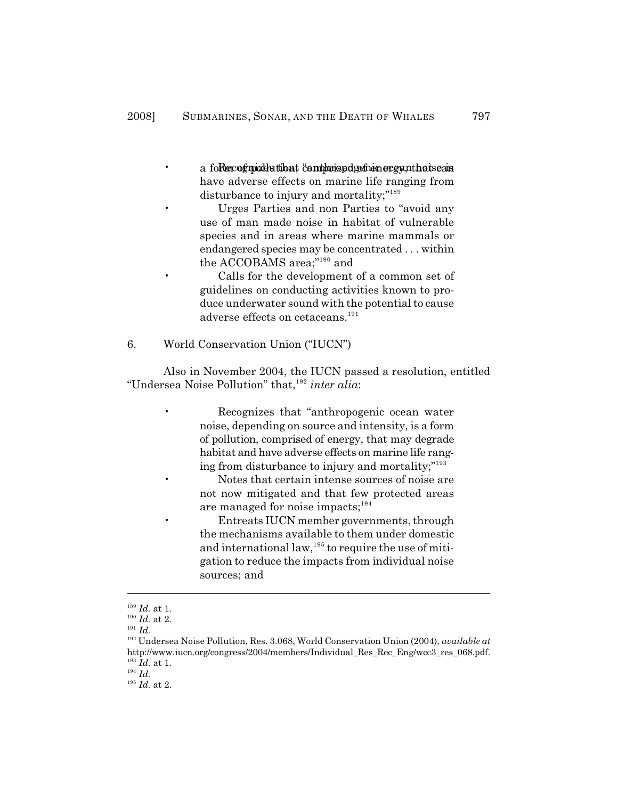- a form of modes that continued at the contract and the case of a formulation of  $\alpha$  in the case of  $\alpha$ have adverse effects on marine life ranging from disturbance to injury and mortality;"<sup>189</sup>
	- Urges Parties and non Parties to "avoid any use of man made noise in habitat of vulnerable species and in areas where marine mammals or endangered species may be concentrated . . . within the ACCOBAMS area;" $^{190}$  and

• Calls for the development of a common set of guidelines on conducting activities known to produce underwater sound with the potential to cause adverse effects on cetaceans.<sup>191</sup>

6. World Conservation Union ("IUCN")

Also in November 2004, the IUCN passed a resolution, entitled "Undersea Noise Pollution" that,<sup>192</sup> inter alia:

> • Recognizes that "anthropogenic ocean water noise, depending on source and intensity, is a form of pollution, comprised of energy, that may degrade habitat and have adverse effects on marine life ranging from disturbance to injury and mortality;"<sup>193</sup>

• Notes that certain intense sources of noise are not now mitigated and that few protected areas are managed for noise impacts; $194$ 

• Entreats IUCN member governments, through the mechanisms available to them under domestic and international  $law$ ,  $195$  to require the use of mitigation to reduce the impacts from individual noise sources; and

 $^{194}$   $Id.$ 

 $^{189}$   $\emph{Id.}$  at 1.

<sup>&</sup>lt;sup>190</sup> Id. at 2.

 $^{191}$  *Id.* 

<sup>&</sup>lt;sup>192</sup> Undersea Noise Pollution, Res. 3.068, World Conservation Union (2004), *available at* http://www.iucn.org/congress/2004/members/Individual Res Rec\_Eng/wcc3\_res\_068.pdf.  $^{193}$   $\emph{Id.}$  at 1.

 $^{195}$  *Id.* at 2.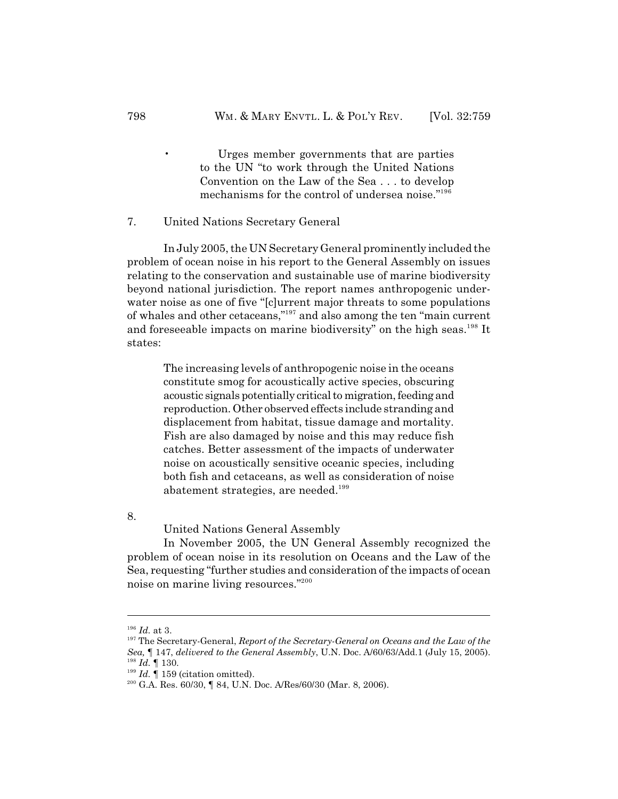• Urges member governments that are parties to the UN "to work through the United Nations Convention on the Law of the Sea . . . to develop mechanisms for the control of undersea noise."<sup>196</sup>

7. United Nations Secretary General

In July 2005, the UN Secretary General prominently included the problem of ocean noise in his report to the General Assembly on issues relating to the conservation and sustainable use of marine biodiversity beyond national jurisdiction. The report names anthropogenic underwater noise as one of five "[c]urrent major threats to some populations of whales and other cetaceans,"<sup>197</sup> and also among the ten "main current and foreseeable impacts on marine biodiversity" on the high seas.<sup>198</sup> It states:

The increasing levels of anthropogenic noise in the oceans constitute smog for acoustically active species, obscuring acoustic signals potentially critical to migration, feeding and reproduction. Other observed effects include stranding and displacement from habitat, tissue damage and mortality. Fish are also damaged by noise and this may reduce fish catches. Better assessment of the impacts of underwater noise on acoustically sensitive oceanic species, including both fish and cetaceans, as well as consideration of noise abatement strategies, are needed.<sup>199</sup>

8.

United Nations General Assembly

In November 2005, the UN General Assembly recognized the problem of ocean noise in its resolution on Oceans and the Law of the Sea, requesting "further studies and consideration of the impacts of ocean noise on marine living resources."200

<sup>&</sup>lt;sup>196</sup> *Id.* at 3.

<sup>&</sup>lt;sup>197</sup> The Secretary-General, *Report of the Secretary-General on Oceans and the Law of the Sea,* ¶ 147, *delivered to the General Assembly*, U.N. Doc. A/60/63/Add.1 (July 15, 2005). <sup>198</sup> Id. ¶ 130.

 $I<sup>199</sup>$  *Id.*  $\P$  159 (citation omitted).

 $^{200}$  G.A. Res. 60/30, ¶ 84, U.N. Doc. A/Res/60/30 (Mar. 8, 2006).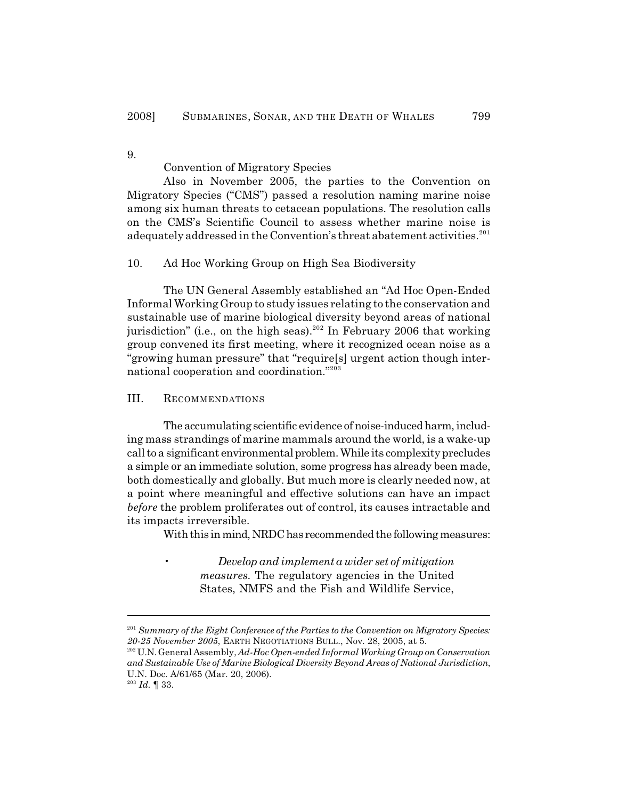9.

Convention of Migratory Species

Also in November 2005, the parties to the Convention on Migratory Species ("CMS") passed a resolution naming marine noise among six human threats to cetacean populations. The resolution calls on the CMS's Scientific Council to assess whether marine noise is adequately addressed in the Convention's threat abatement activities.<sup>201</sup>

10. Ad Hoc Working Group on High Sea Biodiversity

The UN General Assembly established an "Ad Hoc Open-Ended InformalWorking Group to study issues relating to the conservation and sustainable use of marine biological diversity beyond areas of national jurisdiction" (i.e., on the high seas).  $202$  In February 2006 that working group convened its first meeting, where it recognized ocean noise as a "growing human pressure" that "require[s] urgent action though international cooperation and coordination."<sup>203</sup>

III. RECOMMENDATIONS

The accumulating scientific evidence of noise-induced harm, including mass strandings of marine mammals around the world, is a wake-up call to a significant environmental problem. While its complexity precludes a simple or an immediate solution, some progress has already been made, both domestically and globally. But much more is clearly needed now, at a point where meaningful and effective solutions can have an impact *before* the problem proliferates out of control, its causes intractable and its impacts irreversible.

With this in mind, NRDC has recommended the following measures:

• *Develop and implement a wider set of mitigation measures.* The regulatory agencies in the United States, NMFS and the Fish and Wildlife Service,

*Summary of the Eight Conference of the Parties to the Convention on Migratory Species:* 201 *20-25 November 2005*, EARTH NEGOTIATIONS BULL., Nov. 28, 2005, at 5.

<sup>&</sup>lt;sup>202</sup> U.N. General Assembly, *Ad-Hoc Open-ended Informal Working Group on Conservation and Sustainable Use of Marine Biological Diversity Beyond Areas of National Jurisdiction*, U.N. Doc. A/61/65 (Mar. 20, 2006).

 $^{203}$  Id.  $\P$  33.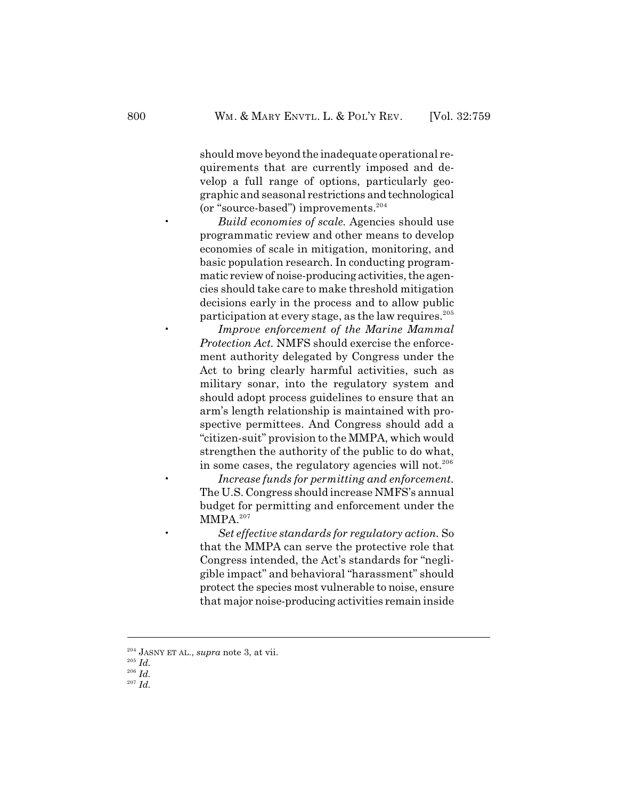should move beyond the inadequate operational requirements that are currently imposed and develop a full range of options, particularly geographic and seasonal restrictions and technological (or "source-based") improvements. 204

• *Build economies of scale.* Agencies should use programmatic review and other means to develop economies of scale in mitigation, monitoring, and basic population research. In conducting programmatic review of noise-producing activities, the agencies should take care to make threshold mitigation decisions early in the process and to allow public participation at every stage, as the law requires. 205

• *Improve enforcement of the Marine Mammal Protection Act.* NMFS should exercise the enforcement authority delegated by Congress under the Act to bring clearly harmful activities, such as military sonar, into the regulatory system and should adopt process guidelines to ensure that an arm's length relationship is maintained with prospective permittees. And Congress should add a "citizen-suit" provision to the MMPA, which would strengthen the authority of the public to do what, in some cases, the regulatory agencies will not.<sup>206</sup>

• *Increase funds for permitting and enforcement.* The U.S. Congress should increase NMFS's annual budget for permitting and enforcement under the MMPA.<sup>207</sup>

• *Set effective standards for regulatory action.* So that the MMPA can serve the protective role that Congress intended, the Act's standards for "negligible impact" and behavioral "harassment" should protect the species most vulnerable to noise, ensure that major noise-producing activities remain inside

<sup>&</sup>lt;sup>204</sup> JASNY ET AL., *supra* note 3, at vii.

 $^{205}$  *Id.* 

 $^{206}$  *Id.* 

 $^{207}$  *Id.*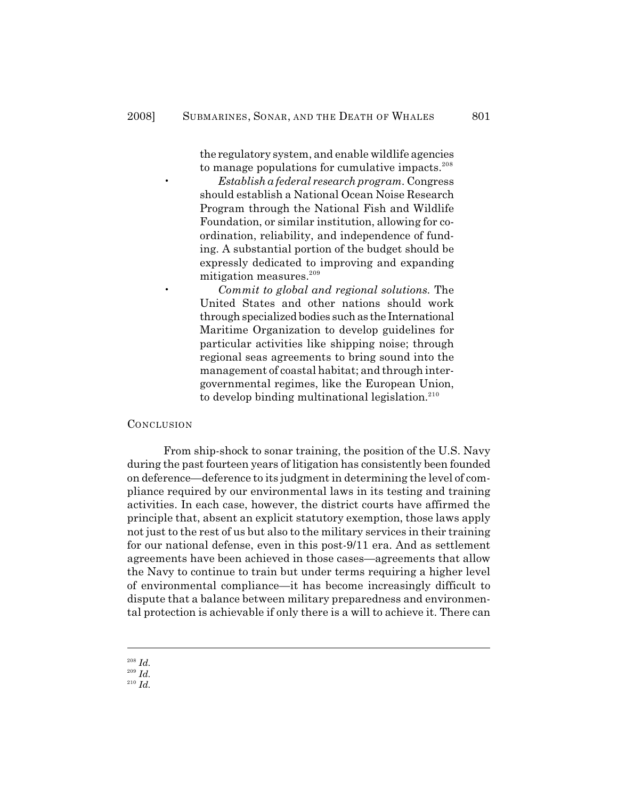the regulatory system, and enable wildlife agencies to manage populations for cumulative impacts.<sup>208</sup>

• *Establish a federal research program.* Congress should establish a National Ocean Noise Research Program through the National Fish and Wildlife Foundation, or similar institution, allowing for coordination, reliability, and independence of funding. A substantial portion of the budget should be expressly dedicated to improving and expanding mitigation measures.<sup>209</sup>

• *Commit to global and regional solutions.* The United States and other nations should work through specialized bodies such as the International Maritime Organization to develop guidelines for particular activities like shipping noise; through regional seas agreements to bring sound into the management of coastal habitat; and through intergovernmental regimes, like the European Union, to develop binding multinational legislation.<sup>210</sup>

#### **CONCLUSION**

From ship-shock to sonar training, the position of the U.S. Navy during the past fourteen years of litigation has consistently been founded on deference—deference to its judgment in determining the level of compliance required by our environmental laws in its testing and training activities. In each case, however, the district courts have affirmed the principle that, absent an explicit statutory exemption, those laws apply not just to the rest of us but also to the military services in their training for our national defense, even in this post-9/11 era. And as settlement agreements have been achieved in those cases—agreements that allow the Navy to continue to train but under terms requiring a higher level of environmental compliance—it has become increasingly difficult to dispute that a balance between military preparedness and environmental protection is achievable if only there is a will to achieve it. There can

*Id.* <sup>208</sup>

*Id.* <sup>209</sup>

 $\frac{1}{10}$